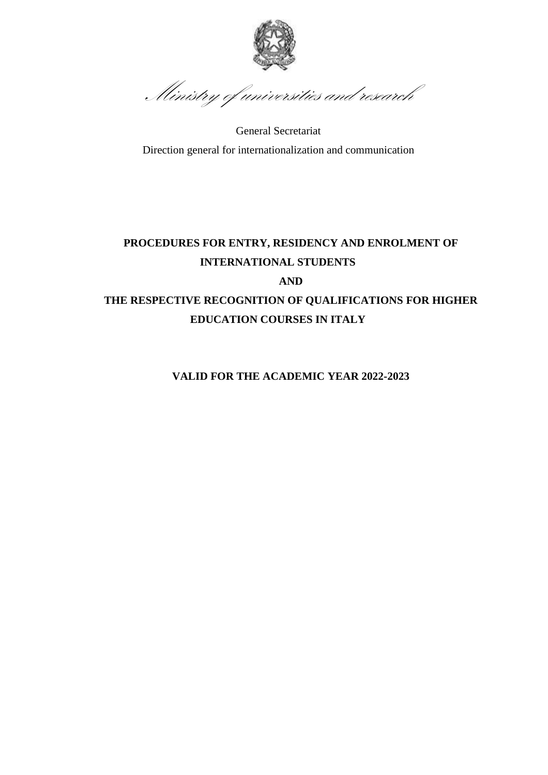

Ministry of universities and research

General Secretariat Direction general for internationalization and communication

# **PROCEDURES FOR ENTRY, RESIDENCY AND ENROLMENT OF INTERNATIONAL STUDENTS AND THE RESPECTIVE RECOGNITION OF QUALIFICATIONS FOR HIGHER EDUCATION COURSES IN ITALY**

# **VALID FOR THE ACADEMIC YEAR 2022-2023**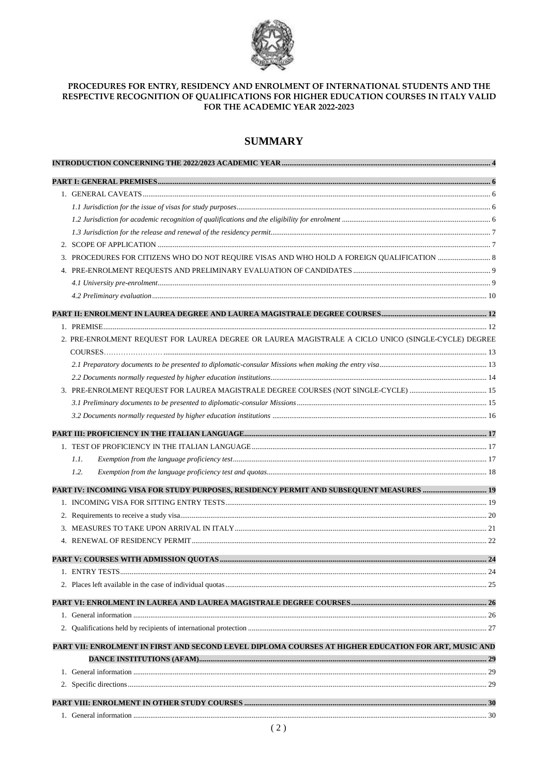

# **SUMMARY**

| 2. PRE-ENROLMENT REQUEST FOR LAUREA DEGREE OR LAUREA MAGISTRALE A CICLO UNICO (SINGLE-CYCLE) DEGREE  |      |
|------------------------------------------------------------------------------------------------------|------|
|                                                                                                      |      |
|                                                                                                      |      |
|                                                                                                      |      |
|                                                                                                      |      |
|                                                                                                      |      |
|                                                                                                      |      |
|                                                                                                      |      |
|                                                                                                      |      |
| 1.1.                                                                                                 |      |
| 1.2.                                                                                                 |      |
|                                                                                                      |      |
|                                                                                                      |      |
|                                                                                                      |      |
|                                                                                                      |      |
|                                                                                                      |      |
|                                                                                                      |      |
|                                                                                                      |      |
| 1. ENTRY TESTS                                                                                       | . 24 |
|                                                                                                      |      |
|                                                                                                      |      |
|                                                                                                      |      |
|                                                                                                      |      |
| PART VII: ENROLMENT IN FIRST AND SECOND LEVEL DIPLOMA COURSES AT HIGHER EDUCATION FOR ART, MUSIC AND |      |
|                                                                                                      |      |
| 1. General information $\ldots$ 29                                                                   |      |
|                                                                                                      |      |
|                                                                                                      |      |
|                                                                                                      |      |
|                                                                                                      |      |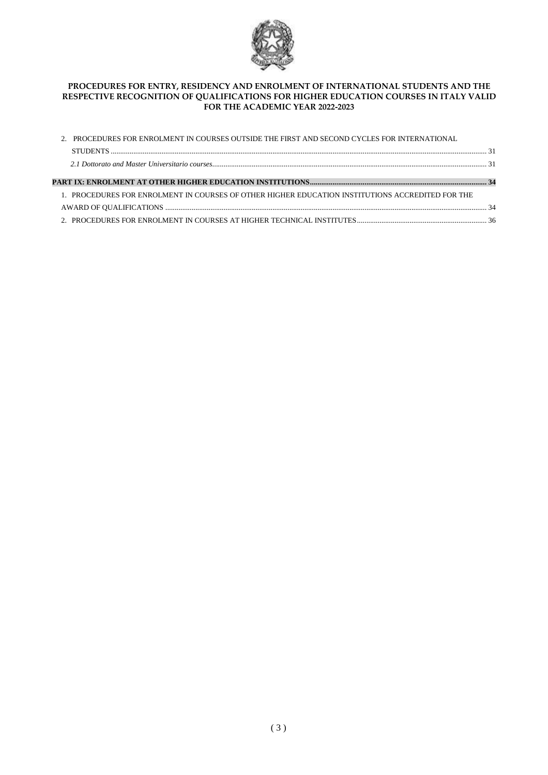

| 2. PROCEDURES FOR ENROLMENT IN COURSES OUTSIDE THE FIRST AND SECOND CYCLES FOR INTERNATIONAL     |  |
|--------------------------------------------------------------------------------------------------|--|
|                                                                                                  |  |
|                                                                                                  |  |
|                                                                                                  |  |
|                                                                                                  |  |
|                                                                                                  |  |
| 1. PROCEDURES FOR ENROLMENT IN COURSES OF OTHER HIGHER EDUCATION INSTITUTIONS ACCREDITED FOR THE |  |
|                                                                                                  |  |
|                                                                                                  |  |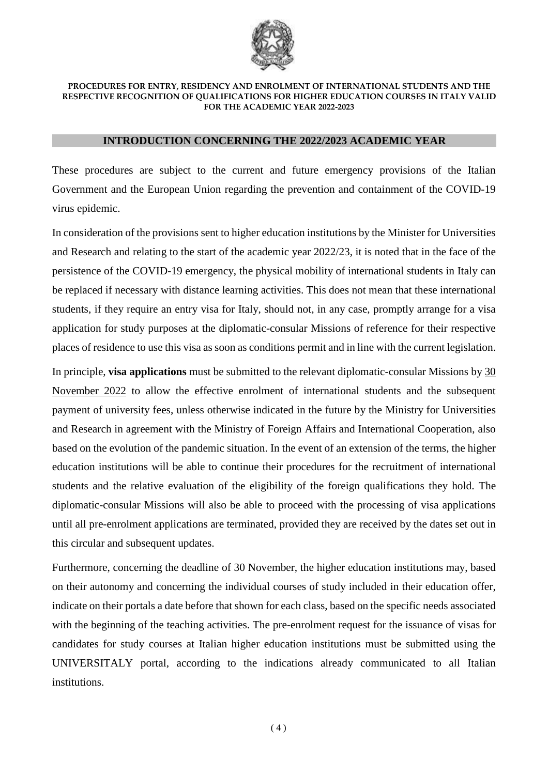

### **INTRODUCTION CONCERNING THE 2022/2023 ACADEMIC YEAR**

<span id="page-3-0"></span>These procedures are subject to the current and future emergency provisions of the Italian Government and the European Union regarding the prevention and containment of the COVID-19 virus epidemic.

In consideration of the provisions sent to higher education institutions by the Minister for Universities and Research and relating to the start of the academic year 2022/23, it is noted that in the face of the persistence of the COVID-19 emergency, the physical mobility of international students in Italy can be replaced if necessary with distance learning activities. This does not mean that these international students, if they require an entry visa for Italy, should not, in any case, promptly arrange for a visa application for study purposes at the diplomatic-consular Missions of reference for their respective places of residence to use this visa as soon as conditions permit and in line with the current legislation.

In principle, **visa applications** must be submitted to the relevant diplomatic-consular Missions by 30 November 2022 to allow the effective enrolment of international students and the subsequent payment of university fees, unless otherwise indicated in the future by the Ministry for Universities and Research in agreement with the Ministry of Foreign Affairs and International Cooperation, also based on the evolution of the pandemic situation. In the event of an extension of the terms, the higher education institutions will be able to continue their procedures for the recruitment of international students and the relative evaluation of the eligibility of the foreign qualifications they hold. The diplomatic-consular Missions will also be able to proceed with the processing of visa applications until all pre-enrolment applications are terminated, provided they are received by the dates set out in this circular and subsequent updates.

Furthermore, concerning the deadline of 30 November, the higher education institutions may, based on their autonomy and concerning the individual courses of study included in their education offer, indicate on their portals a date before that shown for each class, based on the specific needs associated with the beginning of the teaching activities. The pre-enrolment request for the issuance of visas for candidates for study courses at Italian higher education institutions must be submitted using the UNIVERSITALY portal, according to the indications already communicated to all Italian institutions.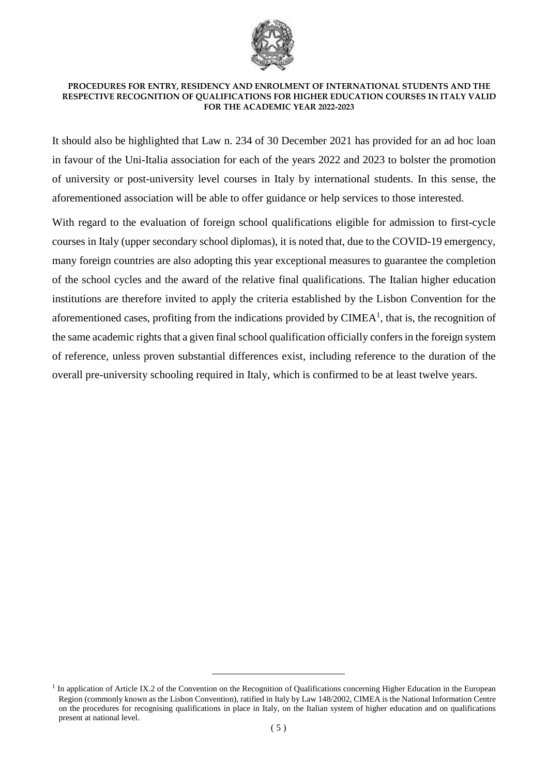

It should also be highlighted that Law n. 234 of 30 December 2021 has provided for an ad hoc loan in favour of the Uni-Italia association for each of the years 2022 and 2023 to bolster the promotion of university or post-university level courses in Italy by international students. In this sense, the aforementioned association will be able to offer guidance or help services to those interested.

With regard to the evaluation of foreign school qualifications eligible for admission to first-cycle courses in Italy (upper secondary school diplomas), it is noted that, due to the COVID-19 emergency, many foreign countries are also adopting this year exceptional measures to guarantee the completion of the school cycles and the award of the relative final qualifications. The Italian higher education institutions are therefore invited to apply the criteria established by the Lisbon Convention for the aforementioned cases, profiting from the indications provided by  $CIMEA<sup>1</sup>$ , that is, the recognition of the same academic rights that a given final school qualification officially confers in the foreign system of reference, unless proven substantial differences exist, including reference to the duration of the overall pre-university schooling required in Italy, which is confirmed to be at least twelve years.

<sup>&</sup>lt;sup>1</sup> In application of Article IX.2 of the Convention on the Recognition of Qualifications concerning Higher Education in the European Region (commonly known as the Lisbon Convention), ratified in Italy by Law 148/2002, CIMEA is the National Information Centre on the procedures for recognising qualifications in place in Italy, on the Italian system of higher education and on qualifications present at national level.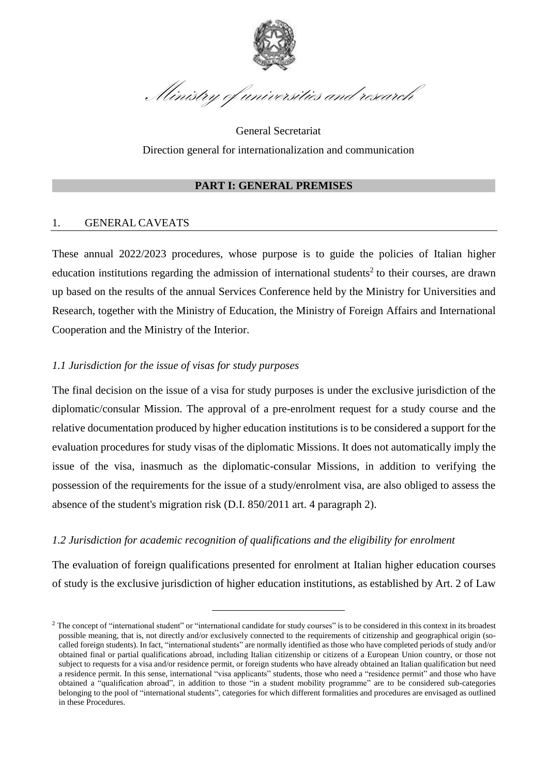

Ministry of universities and research

General Secretariat Direction general for internationalization and communication

### **PART I: GENERAL PREMISES**

### <span id="page-5-1"></span><span id="page-5-0"></span>1. GENERAL CAVEATS

These annual 2022/2023 procedures, whose purpose is to guide the policies of Italian higher education institutions regarding the admission of international students<sup>2</sup> to their courses, are drawn up based on the results of the annual Services Conference held by the Ministry for Universities and Research, together with the Ministry of Education, the Ministry of Foreign Affairs and International Cooperation and the Ministry of the Interior.

### <span id="page-5-2"></span>*1.1 Jurisdiction for the issue of visas for study purposes*

The final decision on the issue of a visa for study purposes is under the exclusive jurisdiction of the diplomatic/consular Mission. The approval of a pre-enrolment request for a study course and the relative documentation produced by higher education institutions is to be considered a support for the evaluation procedures for study visas of the diplomatic Missions. It does not automatically imply the issue of the visa, inasmuch as the diplomatic-consular Missions, in addition to verifying the possession of the requirements for the issue of a study/enrolment visa, are also obliged to assess the absence of the student's migration risk (D.I. 850/2011 art. 4 paragraph 2).

### <span id="page-5-3"></span>*1.2 Jurisdiction for academic recognition of qualifications and the eligibility for enrolment*

 $\overline{a}$ 

The evaluation of foreign qualifications presented for enrolment at Italian higher education courses of study is the exclusive jurisdiction of higher education institutions, as established by Art. 2 of Law

<sup>&</sup>lt;sup>2</sup> The concept of "international student" or "international candidate for study courses" is to be considered in this context in its broadest possible meaning, that is, not directly and/or exclusively connected to the requirements of citizenship and geographical origin (socalled foreign students). In fact, "international students" are normally identified as those who have completed periods of study and/or obtained final or partial qualifications abroad, including Italian citizenship or citizens of a European Union country, or those not subject to requests for a visa and/or residence permit, or foreign students who have already obtained an Italian qualification but need a residence permit. In this sense, international "visa applicants" students, those who need a "residence permit" and those who have obtained a "qualification abroad", in addition to those "in a student mobility programme" are to be considered sub-categories belonging to the pool of "international students", categories for which different formalities and procedures are envisaged as outlined in these Procedures.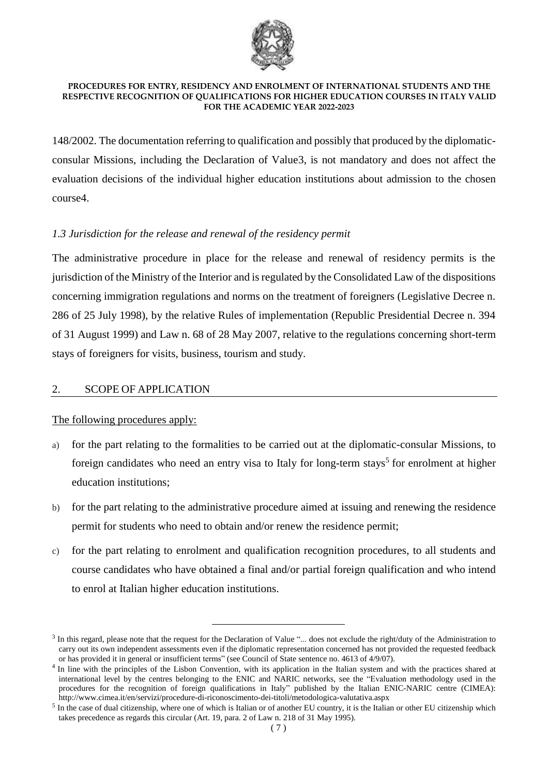

148/2002. The documentation referring to qualification and possibly that produced by the diplomaticconsular Missions, including the Declaration of Value3, is not mandatory and does not affect the evaluation decisions of the individual higher education institutions about admission to the chosen course4.

# <span id="page-6-0"></span>*1.3 Jurisdiction for the release and renewal of the residency permit*

The administrative procedure in place for the release and renewal of residency permits is the jurisdiction of the Ministry of the Interior and is regulated by the Consolidated Law of the dispositions concerning immigration regulations and norms on the treatment of foreigners (Legislative Decree n. 286 of 25 July 1998), by the relative Rules of implementation (Republic Presidential Decree n. 394 of 31 August 1999) and Law n. 68 of 28 May 2007, relative to the regulations concerning short-term stays of foreigners for visits, business, tourism and study.

# <span id="page-6-1"></span>2. SCOPE OF APPLICATION

# The following procedures apply:

- a) for the part relating to the formalities to be carried out at the diplomatic-consular Missions, to foreign candidates who need an entry visa to Italy for long-term stays<sup>5</sup> for enrolment at higher education institutions;
- b) for the part relating to the administrative procedure aimed at issuing and renewing the residence permit for students who need to obtain and/or renew the residence permit;
- c) for the part relating to enrolment and qualification recognition procedures, to all students and course candidates who have obtained a final and/or partial foreign qualification and who intend to enrol at Italian higher education institutions.

 $3$  In this regard, please note that the request for the Declaration of Value "... does not exclude the right/duty of the Administration to carry out its own independent assessments even if the diplomatic representation concerned has not provided the requested feedback or has provided it in general or insufficient terms" (see Council of State sentence no. 4613 of 4/9/07).

<sup>&</sup>lt;sup>4</sup> In line with the principles of the Lisbon Convention, with its application in the Italian system and with the practices shared at international level by the centres belonging to the ENIC and NARIC networks, see the "Evaluation methodology used in the procedures for the recognition of foreign qualifications in Italy" published by the Italian ENIC-NARIC centre (CIMEA): http://www.cimea.it/en/servizi/procedure-di-riconoscimento-dei-titoli/metodologica-valutativa.aspx

 $<sup>5</sup>$  In the case of dual citizenship, where one of which is Italian or of another EU country, it is the Italian or other EU citizenship which</sup> takes precedence as regards this circular (Art. 19, para. 2 of Law n. 218 of 31 May 1995).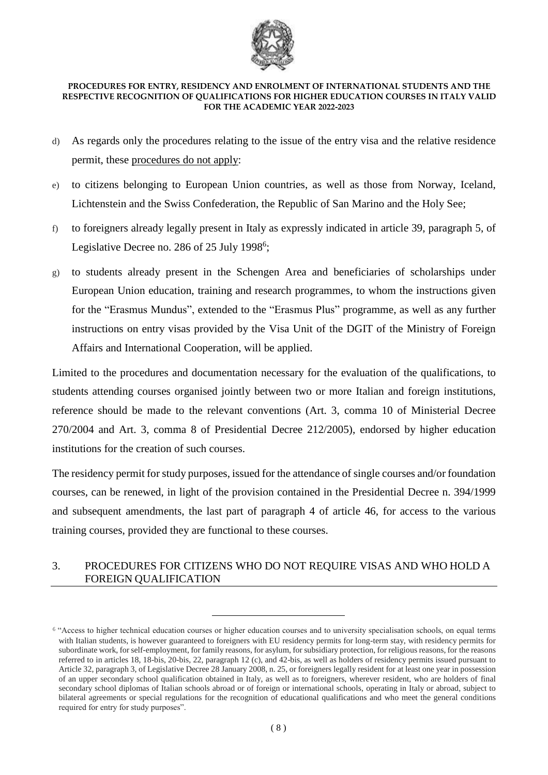

- d) As regards only the procedures relating to the issue of the entry visa and the relative residence permit, these procedures do not apply:
- e) to citizens belonging to European Union countries, as well as those from Norway, Iceland, Lichtenstein and the Swiss Confederation, the Republic of San Marino and the Holy See;
- f) to foreigners already legally present in Italy as expressly indicated in article 39, paragraph 5, of Legislative Decree no. 286 of 25 July 1998<sup>6</sup>;
- g) to students already present in the Schengen Area and beneficiaries of scholarships under European Union education, training and research programmes, to whom the instructions given for the "Erasmus Mundus", extended to the "Erasmus Plus" programme, as well as any further instructions on entry visas provided by the Visa Unit of the DGIT of the Ministry of Foreign Affairs and International Cooperation, will be applied.

Limited to the procedures and documentation necessary for the evaluation of the qualifications, to students attending courses organised jointly between two or more Italian and foreign institutions, reference should be made to the relevant conventions (Art. 3, comma 10 of Ministerial Decree 270/2004 and Art. 3, comma 8 of Presidential Decree 212/2005), endorsed by higher education institutions for the creation of such courses.

The residency permit for study purposes, issued for the attendance of single courses and/or foundation courses, can be renewed, in light of the provision contained in the Presidential Decree n. 394/1999 and subsequent amendments, the last part of paragraph 4 of article 46, for access to the various training courses, provided they are functional to these courses.

# <span id="page-7-0"></span>3. PROCEDURES FOR CITIZENS WHO DO NOT REQUIRE VISAS AND WHO HOLD A FOREIGN QUALIFICATION

<sup>&</sup>lt;sup>6</sup> "Access to higher technical education courses or higher education courses and to university specialisation schools, on equal terms with Italian students, is however guaranteed to foreigners with EU residency permits for long-term stay, with residency permits for subordinate work, for self-employment, for family reasons, for asylum, for subsidiary protection, for religious reasons, for the reasons referred to in articles 18, 18-bis, 20-bis, 22, paragraph 12 (c), and 42-bis, as well as holders of residency permits issued pursuant to Article 32, paragraph 3, of Legislative Decree 28 January 2008, n. 25, or foreigners legally resident for at least one year in possession of an upper secondary school qualification obtained in Italy, as well as to foreigners, wherever resident, who are holders of final secondary school diplomas of Italian schools abroad or of foreign or international schools, operating in Italy or abroad, subject to bilateral agreements or special regulations for the recognition of educational qualifications and who meet the general conditions required for entry for study purposes".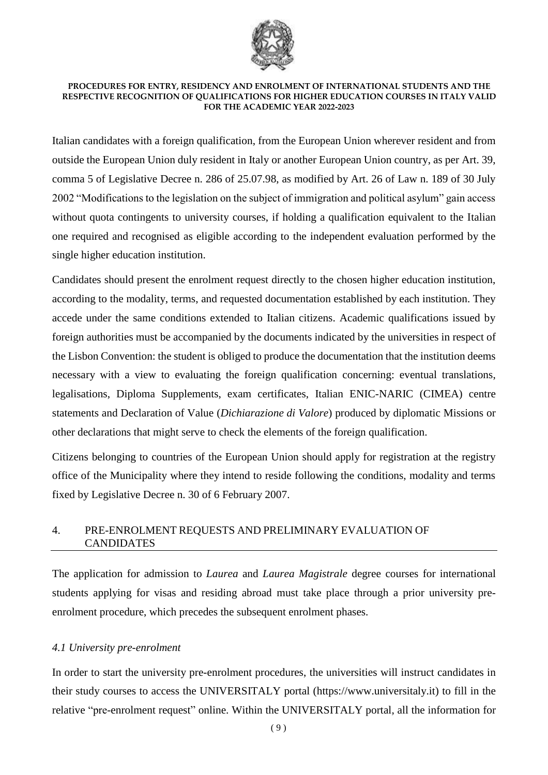

Italian candidates with a foreign qualification, from the European Union wherever resident and from outside the European Union duly resident in Italy or another European Union country, as per Art. 39, comma 5 of Legislative Decree n. 286 of 25.07.98, as modified by Art. 26 of Law n. 189 of 30 July 2002 "Modifications to the legislation on the subject of immigration and political asylum" gain access without quota contingents to university courses, if holding a qualification equivalent to the Italian one required and recognised as eligible according to the independent evaluation performed by the single higher education institution.

Candidates should present the enrolment request directly to the chosen higher education institution, according to the modality, terms, and requested documentation established by each institution. They accede under the same conditions extended to Italian citizens. Academic qualifications issued by foreign authorities must be accompanied by the documents indicated by the universities in respect of the Lisbon Convention: the student is obliged to produce the documentation that the institution deems necessary with a view to evaluating the foreign qualification concerning: eventual translations, legalisations, Diploma Supplements, exam certificates, Italian ENIC-NARIC (CIMEA) centre statements and Declaration of Value (*Dichiarazione di Valore*) produced by diplomatic Missions or other declarations that might serve to check the elements of the foreign qualification.

Citizens belonging to countries of the European Union should apply for registration at the registry office of the Municipality where they intend to reside following the conditions, modality and terms fixed by Legislative Decree n. 30 of 6 February 2007.

# <span id="page-8-0"></span>4. PRE-ENROLMENT REQUESTS AND PRELIMINARY EVALUATION OF **CANDIDATES**

The application for admission to *Laurea* and *Laurea Magistrale* degree courses for international students applying for visas and residing abroad must take place through a prior university preenrolment procedure, which precedes the subsequent enrolment phases.

# <span id="page-8-1"></span>*4.1 University pre-enrolment*

In order to start the university pre-enrolment procedures, the universities will instruct candidates in their study courses to access the UNIVERSITALY portal (https://www.universitaly.it) to fill in the relative "pre-enrolment request" online. Within the UNIVERSITALY portal, all the information for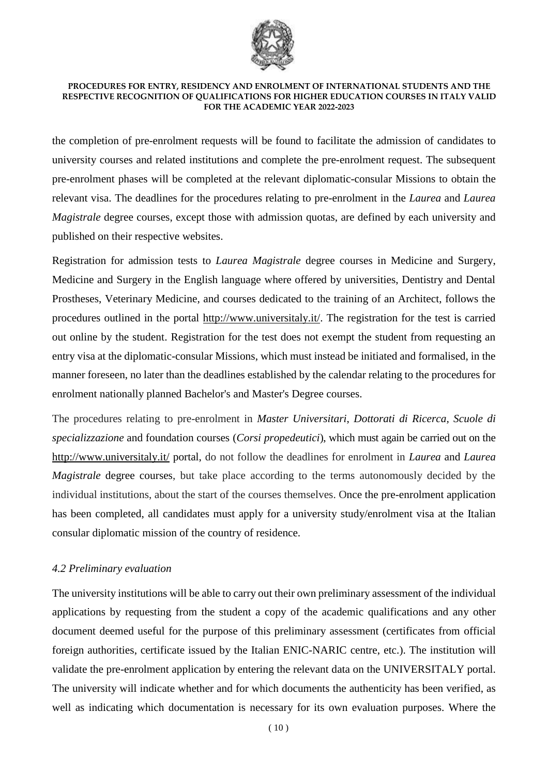

the completion of pre-enrolment requests will be found to facilitate the admission of candidates to university courses and related institutions and complete the pre-enrolment request. The subsequent pre-enrolment phases will be completed at the relevant diplomatic-consular Missions to obtain the relevant visa. The deadlines for the procedures relating to pre-enrolment in the *Laurea* and *Laurea Magistrale* degree courses, except those with admission quotas, are defined by each university and published on their respective websites.

Registration for admission tests to *Laurea Magistrale* degree courses in Medicine and Surgery, Medicine and Surgery in the English language where offered by universities, Dentistry and Dental Prostheses, Veterinary Medicine, and courses dedicated to the training of an Architect, follows the procedures outlined in the portal http://www.universitaly.it/. The registration for the test is carried out online by the student. Registration for the test does not exempt the student from requesting an entry visa at the diplomatic-consular Missions, which must instead be initiated and formalised, in the manner foreseen, no later than the deadlines established by the calendar relating to the procedures for enrolment nationally planned Bachelor's and Master's Degree courses.

The procedures relating to pre-enrolment in *Master Universitari*, *Dottorati di Ricerca, Scuole di specializzazione* and foundation courses (*Corsi propedeutici*), which must again be carried out on the <http://www.universitaly.it/> portal, do not follow the deadlines for enrolment in *Laurea* and *Laurea Magistrale* degree courses, but take place according to the terms autonomously decided by the individual institutions, about the start of the courses themselves. Once the pre-enrolment application has been completed, all candidates must apply for a university study/enrolment visa at the Italian consular diplomatic mission of the country of residence.

### <span id="page-9-0"></span>*4.2 Preliminary evaluation*

The university institutions will be able to carry out their own preliminary assessment of the individual applications by requesting from the student a copy of the academic qualifications and any other document deemed useful for the purpose of this preliminary assessment (certificates from official foreign authorities, certificate issued by the Italian ENIC-NARIC centre, etc.). The institution will validate the pre-enrolment application by entering the relevant data on the UNIVERSITALY portal. The university will indicate whether and for which documents the authenticity has been verified, as well as indicating which documentation is necessary for its own evaluation purposes. Where the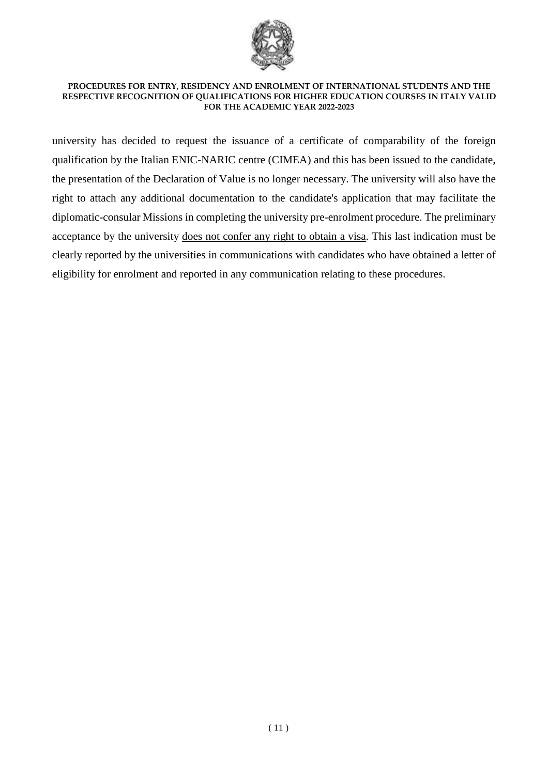

university has decided to request the issuance of a certificate of comparability of the foreign qualification by the Italian ENIC-NARIC centre (CIMEA) and this has been issued to the candidate, the presentation of the Declaration of Value is no longer necessary. The university will also have the right to attach any additional documentation to the candidate's application that may facilitate the diplomatic-consular Missions in completing the university pre-enrolment procedure. The preliminary acceptance by the university does not confer any right to obtain a visa. This last indication must be clearly reported by the universities in communications with candidates who have obtained a letter of eligibility for enrolment and reported in any communication relating to these procedures.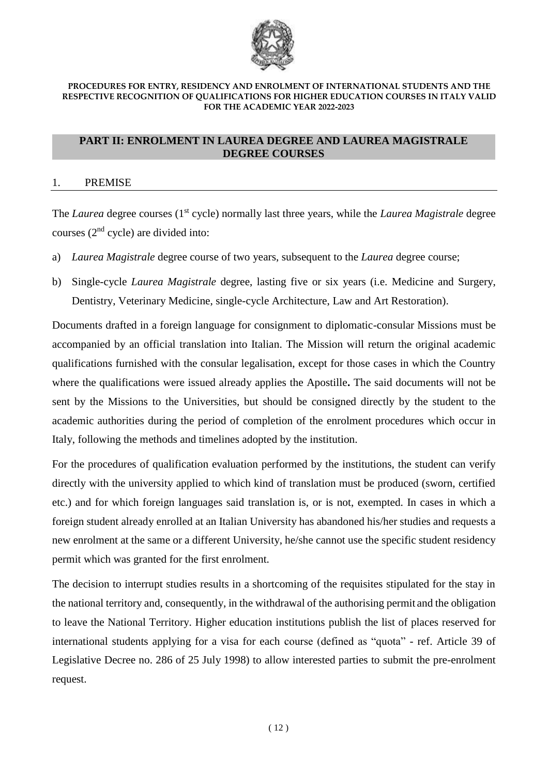

### <span id="page-11-0"></span>**PART II: ENROLMENT IN LAUREA DEGREE AND LAUREA MAGISTRALE DEGREE COURSES**

### <span id="page-11-1"></span>1. PREMISE

The *Laurea* degree courses (1<sup>st</sup> cycle) normally last three years, while the *Laurea Magistrale* degree courses  $(2<sup>nd</sup>$  cycle) are divided into:

- a) *Laurea Magistrale* degree course of two years, subsequent to the *Laurea* degree course;
- b) Single-cycle *Laurea Magistrale* degree, lasting five or six years (i.e. Medicine and Surgery, Dentistry, Veterinary Medicine, single-cycle Architecture, Law and Art Restoration).

Documents drafted in a foreign language for consignment to diplomatic-consular Missions must be accompanied by an official translation into Italian. The Mission will return the original academic qualifications furnished with the consular legalisation, except for those cases in which the Country where the qualifications were issued already applies the Apostille**.** The said documents will not be sent by the Missions to the Universities, but should be consigned directly by the student to the academic authorities during the period of completion of the enrolment procedures which occur in Italy, following the methods and timelines adopted by the institution.

For the procedures of qualification evaluation performed by the institutions, the student can verify directly with the university applied to which kind of translation must be produced (sworn, certified etc.) and for which foreign languages said translation is, or is not, exempted. In cases in which a foreign student already enrolled at an Italian University has abandoned his/her studies and requests a new enrolment at the same or a different University, he/she cannot use the specific student residency permit which was granted for the first enrolment.

The decision to interrupt studies results in a shortcoming of the requisites stipulated for the stay in the national territory and, consequently, in the withdrawal of the authorising permit and the obligation to leave the National Territory. Higher education institutions publish the list of places reserved for international students applying for a visa for each course (defined as "quota" - ref. Article 39 of Legislative Decree no. 286 of 25 July 1998) to allow interested parties to submit the pre-enrolment request.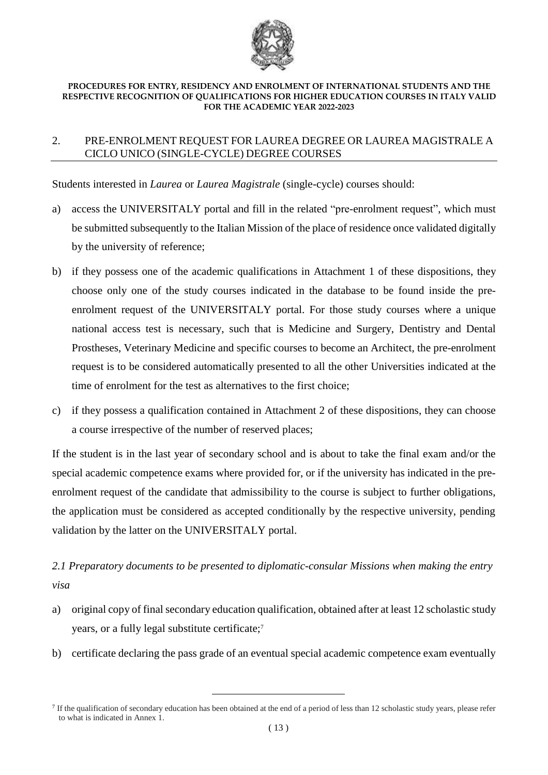

# <span id="page-12-0"></span>2. PRE-ENROLMENT REQUEST FOR LAUREA DEGREE OR LAUREA MAGISTRALE A CICLO UNICO (SINGLE-CYCLE) DEGREE COURSES

Students interested in *Laurea* or *Laurea Magistrale* (single-cycle) courses should:

- a) access the UNIVERSITALY portal and fill in the related "pre-enrolment request", which must be submitted subsequently to the Italian Mission of the place of residence once validated digitally by the university of reference;
- b) if they possess one of the academic qualifications in Attachment 1 of these dispositions, they choose only one of the study courses indicated in the database to be found inside the preenrolment request of the UNIVERSITALY portal. For those study courses where a unique national access test is necessary, such that is Medicine and Surgery, Dentistry and Dental Prostheses, Veterinary Medicine and specific courses to become an Architect, the pre-enrolment request is to be considered automatically presented to all the other Universities indicated at the time of enrolment for the test as alternatives to the first choice;
- c) if they possess a qualification contained in Attachment 2 of these dispositions, they can choose a course irrespective of the number of reserved places;

If the student is in the last year of secondary school and is about to take the final exam and/or the special academic competence exams where provided for, or if the university has indicated in the preenrolment request of the candidate that admissibility to the course is subject to further obligations, the application must be considered as accepted conditionally by the respective university, pending validation by the latter on the UNIVERSITALY portal.

<span id="page-12-1"></span>*2.1 Preparatory documents to be presented to diplomatic-consular Missions when making the entry visa*

- a) original copy of final secondary education qualification, obtained after at least 12 scholastic study years, or a fully legal substitute certificate;<sup>7</sup>
- b) certificate declaring the pass grade of an eventual special academic competence exam eventually

<sup>&</sup>lt;sup>7</sup> If the qualification of secondary education has been obtained at the end of a period of less than 12 scholastic study years, please refer to what is indicated in Annex 1.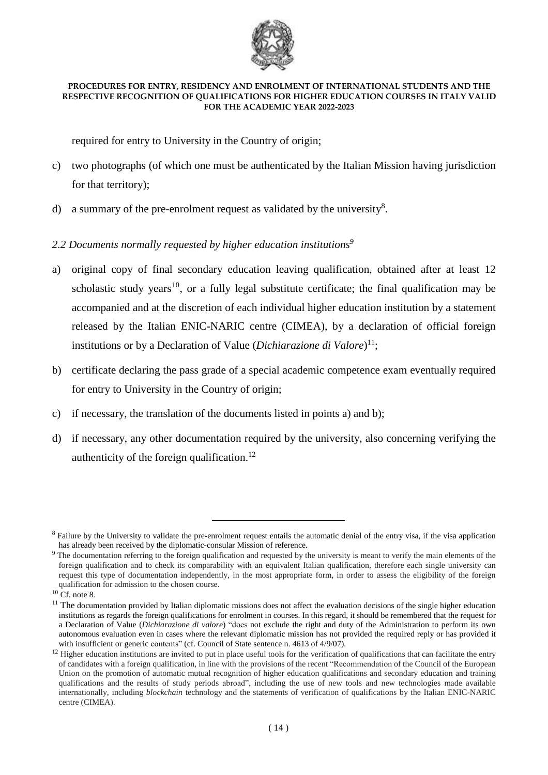

required for entry to University in the Country of origin;

- c) two photographs (of which one must be authenticated by the Italian Mission having jurisdiction for that territory);
- d) a summary of the pre-enrolment request as validated by the university<sup>8</sup>.

# <span id="page-13-0"></span>*2.2 Documents normally requested by higher education institutions<sup>9</sup>*

- a) original copy of final secondary education leaving qualification, obtained after at least 12 scholastic study years<sup>10</sup>, or a fully legal substitute certificate; the final qualification may be accompanied and at the discretion of each individual higher education institution by a statement released by the Italian ENIC-NARIC centre (CIMEA), by a declaration of official foreign institutions or by a Declaration of Value (*Dichiarazione di Valore*) 11;
- b) certificate declaring the pass grade of a special academic competence exam eventually required for entry to University in the Country of origin;
- c) if necessary, the translation of the documents listed in points a) and b);

 $\overline{a}$ 

d) if necessary, any other documentation required by the university, also concerning verifying the authenticity of the foreign qualification.<sup>12</sup>

<sup>&</sup>lt;sup>8</sup> Failure by the University to validate the pre-enrolment request entails the automatic denial of the entry visa, if the visa application has already been received by the diplomatic-consular Mission of reference.

<sup>&</sup>lt;sup>9</sup> The documentation referring to the foreign qualification and requested by the university is meant to verify the main elements of the foreign qualification and to check its comparability with an equivalent Italian qualification, therefore each single university can request this type of documentation independently, in the most appropriate form, in order to assess the eligibility of the foreign qualification for admission to the chosen course.

 $10$  Cf. note 8.

 $11$  The documentation provided by Italian diplomatic missions does not affect the evaluation decisions of the single higher education institutions as regards the foreign qualifications for enrolment in courses. In this regard, it should be remembered that the request for a Declaration of Value (*Dichiarazione di valore*) "does not exclude the right and duty of the Administration to perform its own autonomous evaluation even in cases where the relevant diplomatic mission has not provided the required reply or has provided it with insufficient or generic contents" (cf. Council of State sentence n. 4613 of 4/9/07).

<sup>&</sup>lt;sup>12</sup> Higher education institutions are invited to put in place useful tools for the verification of qualifications that can facilitate the entry of candidates with a foreign qualification, in line with the provisions of the recent "Recommendation of the Council of the European Union on the promotion of automatic mutual recognition of higher education qualifications and secondary education and training qualifications and the results of study periods abroad", including the use of new tools and new technologies made available internationally, including *blockchain* technology and the statements of verification of qualifications by the Italian ENIC-NARIC centre (CIMEA).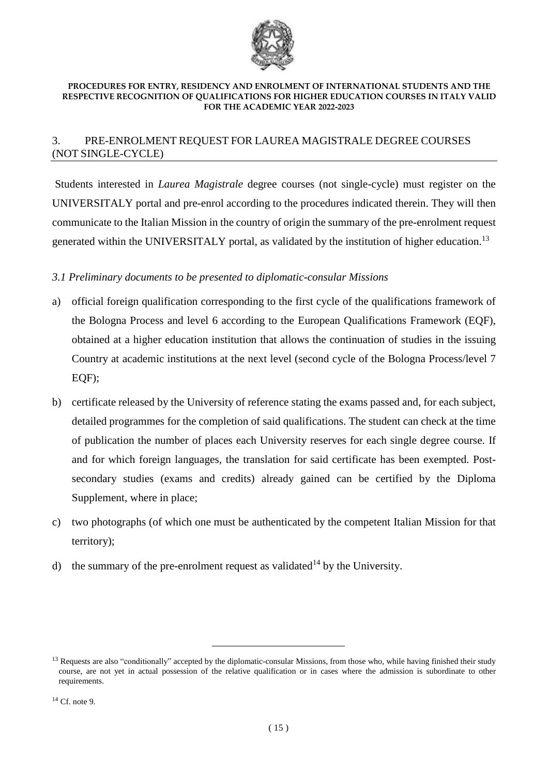

# <span id="page-14-0"></span>3. PRE-ENROLMENT REQUEST FOR LAUREA MAGISTRALE DEGREE COURSES (NOT SINGLE-CYCLE)

Students interested in *Laurea Magistrale* degree courses (not single-cycle) must register on the UNIVERSITALY portal and pre-enrol according to the procedures indicated therein. They will then communicate to the Italian Mission in the country of origin the summary of the pre-enrolment request generated within the UNIVERSITALY portal, as validated by the institution of higher education.<sup>13</sup>

# <span id="page-14-1"></span>*3.1 Preliminary documents to be presented to diplomatic-consular Missions*

- a) official foreign qualification corresponding to the first cycle of the qualifications framework of the Bologna Process and level 6 according to the European Qualifications Framework (EQF), obtained at a higher education institution that allows the continuation of studies in the issuing Country at academic institutions at the next level (second cycle of the Bologna Process/level 7 EQF);
- b) certificate released by the University of reference stating the exams passed and, for each subject, detailed programmes for the completion of said qualifications. The student can check at the time of publication the number of places each University reserves for each single degree course. If and for which foreign languages, the translation for said certificate has been exempted. Postsecondary studies (exams and credits) already gained can be certified by the Diploma Supplement, where in place;
- c) two photographs (of which one must be authenticated by the competent Italian Mission for that territory);
- d) the summary of the pre-enrolment request as validated<sup>14</sup> by the University.

 $<sup>13</sup>$  Requests are also "conditionally" accepted by the diplomatic-consular Missions, from those who, while having finished their study</sup> course, are not yet in actual possession of the relative qualification or in cases where the admission is subordinate to other requirements.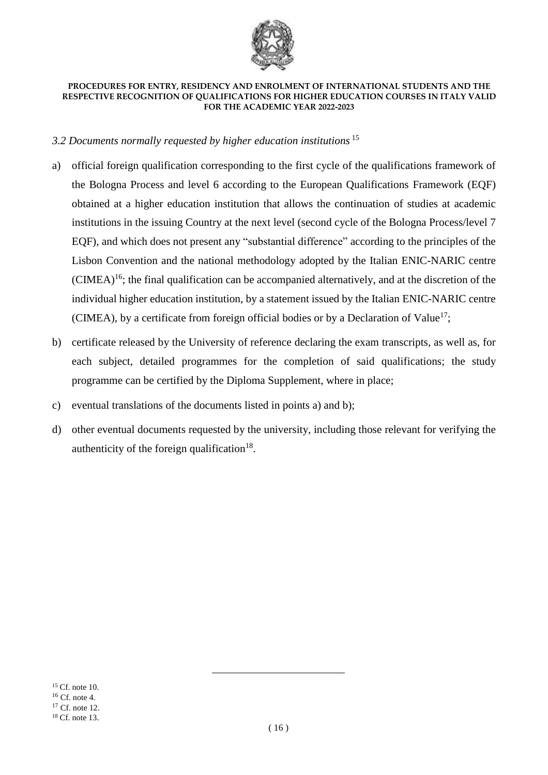

# <span id="page-15-0"></span>*3.2 Documents normally requested by higher education institutions* <sup>15</sup>

- a) official foreign qualification corresponding to the first cycle of the qualifications framework of the Bologna Process and level 6 according to the European Qualifications Framework (EQF) obtained at a higher education institution that allows the continuation of studies at academic institutions in the issuing Country at the next level (second cycle of the Bologna Process/level 7 EQF), and which does not present any "substantial difference" according to the principles of the Lisbon Convention and the national methodology adopted by the Italian ENIC-NARIC centre  $(CIMEA)^{16}$ ; the final qualification can be accompanied alternatively, and at the discretion of the individual higher education institution, by a statement issued by the Italian ENIC-NARIC centre (CIMEA), by a certificate from foreign official bodies or by a Declaration of Value<sup>17</sup>;
- b) certificate released by the University of reference declaring the exam transcripts, as well as, for each subject, detailed programmes for the completion of said qualifications; the study programme can be certified by the Diploma Supplement, where in place;
- c) eventual translations of the documents listed in points a) and b);

 $\overline{a}$ 

d) other eventual documents requested by the university, including those relevant for verifying the authenticity of the foreign qualification $18$ .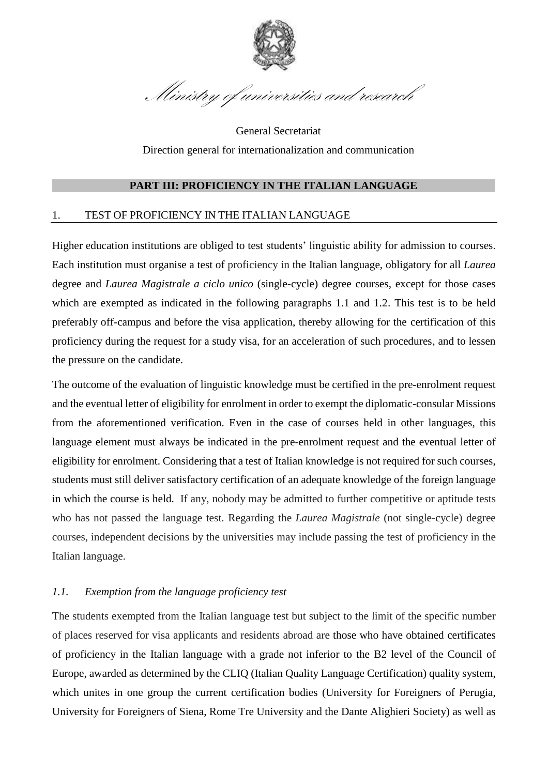

Ministry of universities and research

General Secretariat Direction general for internationalization and communication

### **PART III: PROFICIENCY IN THE ITALIAN LANGUAGE**

## <span id="page-16-1"></span><span id="page-16-0"></span>1. TEST OF PROFICIENCY IN THE ITALIAN LANGUAGE

Higher education institutions are obliged to test students' linguistic ability for admission to courses. Each institution must organise a test of proficiency in the Italian language, obligatory for all *Laurea*  degree and *Laurea Magistrale a ciclo unico* (single-cycle) degree courses, except for those cases which are exempted as indicated in the following paragraphs 1.1 and 1.2. This test is to be held preferably off-campus and before the visa application, thereby allowing for the certification of this proficiency during the request for a study visa, for an acceleration of such procedures, and to lessen the pressure on the candidate.

The outcome of the evaluation of linguistic knowledge must be certified in the pre-enrolment request and the eventual letter of eligibility for enrolment in order to exempt the diplomatic-consular Missions from the aforementioned verification. Even in the case of courses held in other languages, this language element must always be indicated in the pre-enrolment request and the eventual letter of eligibility for enrolment. Considering that a test of Italian knowledge is not required for such courses, students must still deliver satisfactory certification of an adequate knowledge of the foreign language in which the course is held. If any, nobody may be admitted to further competitive or aptitude tests who has not passed the language test. Regarding the *Laurea Magistrale* (not single-cycle) degree courses, independent decisions by the universities may include passing the test of proficiency in the Italian language.

### <span id="page-16-2"></span>*1.1. Exemption from the language proficiency test*

The students exempted from the Italian language test but subject to the limit of the specific number of places reserved for visa applicants and residents abroad are those who have obtained certificates of proficiency in the Italian language with a grade not inferior to the B2 level of the Council of Europe, awarded as determined by the CLIQ (Italian Quality Language Certification) quality system, which unites in one group the current certification bodies (University for Foreigners of Perugia, University for Foreigners of Siena, Rome Tre University and the Dante Alighieri Society) as well as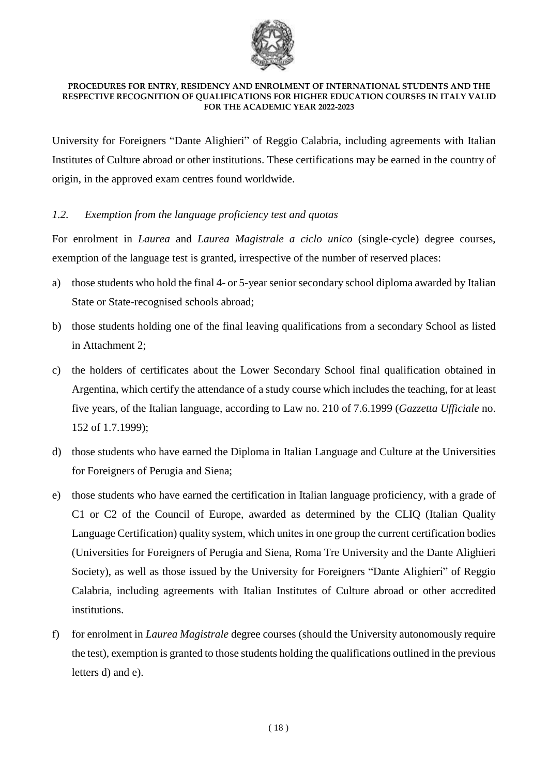

University for Foreigners "Dante Alighieri" of Reggio Calabria, including agreements with Italian Institutes of Culture abroad or other institutions. These certifications may be earned in the country of origin, in the approved exam centres found worldwide.

<span id="page-17-0"></span>*1.2. Exemption from the language proficiency test and quotas*

For enrolment in *Laurea* and *Laurea Magistrale a ciclo unico* (single-cycle) degree courses, exemption of the language test is granted, irrespective of the number of reserved places:

- a) those students who hold the final 4- or 5-year senior secondary school diploma awarded by Italian State or State-recognised schools abroad;
- b) those students holding one of the final leaving qualifications from a secondary School as listed in Attachment 2;
- c) the holders of certificates about the Lower Secondary School final qualification obtained in Argentina, which certify the attendance of a study course which includes the teaching, for at least five years, of the Italian language, according to Law no. 210 of 7.6.1999 (*Gazzetta Ufficiale* no. 152 of 1.7.1999);
- d) those students who have earned the Diploma in Italian Language and Culture at the Universities for Foreigners of Perugia and Siena;
- e) those students who have earned the certification in Italian language proficiency, with a grade of C1 or C2 of the Council of Europe, awarded as determined by the CLIQ (Italian Quality Language Certification) quality system, which unites in one group the current certification bodies (Universities for Foreigners of Perugia and Siena, Roma Tre University and the Dante Alighieri Society), as well as those issued by the University for Foreigners "Dante Alighieri" of Reggio Calabria, including agreements with Italian Institutes of Culture abroad or other accredited institutions.
- f) for enrolment in *Laurea Magistrale* degree courses (should the University autonomously require the test), exemption is granted to those students holding the qualifications outlined in the previous letters d) and e).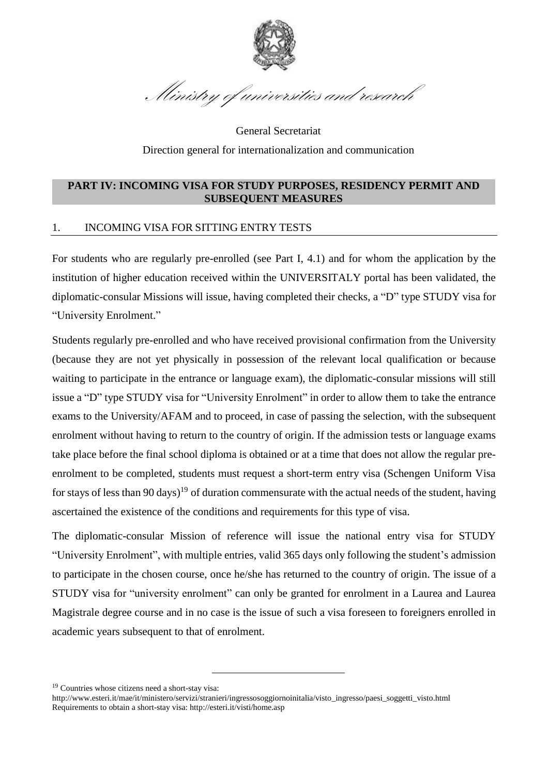

Ministry of universities and research

General Secretariat Direction general for internationalization and communication

### <span id="page-18-0"></span>**PART IV: INCOMING VISA FOR STUDY PURPOSES, RESIDENCY PERMIT AND SUBSEQUENT MEASURES**

## <span id="page-18-1"></span>1. INCOMING VISA FOR SITTING ENTRY TESTS

For students who are regularly pre-enrolled (see Part I, 4.1) and for whom the application by the institution of higher education received within the UNIVERSITALY portal has been validated, the diplomatic-consular Missions will issue, having completed their checks, a "D" type STUDY visa for "University Enrolment."

Students regularly pre-enrolled and who have received provisional confirmation from the University (because they are not yet physically in possession of the relevant local qualification or because waiting to participate in the entrance or language exam), the diplomatic-consular missions will still issue a "D" type STUDY visa for "University Enrolment" in order to allow them to take the entrance exams to the University/AFAM and to proceed, in case of passing the selection, with the subsequent enrolment without having to return to the country of origin. If the admission tests or language exams take place before the final school diploma is obtained or at a time that does not allow the regular preenrolment to be completed, students must request a short-term entry visa (Schengen Uniform Visa for stays of less than 90 days)<sup>19</sup> of duration commensurate with the actual needs of the student, having ascertained the existence of the conditions and requirements for this type of visa.

The diplomatic-consular Mission of reference will issue the national entry visa for STUDY "University Enrolment", with multiple entries, valid 365 days only following the student's admission to participate in the chosen course, once he/she has returned to the country of origin. The issue of a STUDY visa for "university enrolment" can only be granted for enrolment in a Laurea and Laurea Magistrale degree course and in no case is the issue of such a visa foreseen to foreigners enrolled in academic years subsequent to that of enrolment.

<sup>19</sup> Countries whose citizens need a short-stay visa:

http://www.esteri.it/mae/it/ministero/servizi/stranieri/ingressosoggiornoinitalia/visto\_ingresso/paesi\_soggetti\_visto.html Requirements to obtain a short-stay visa: <http://esteri.it/visti/home.asp>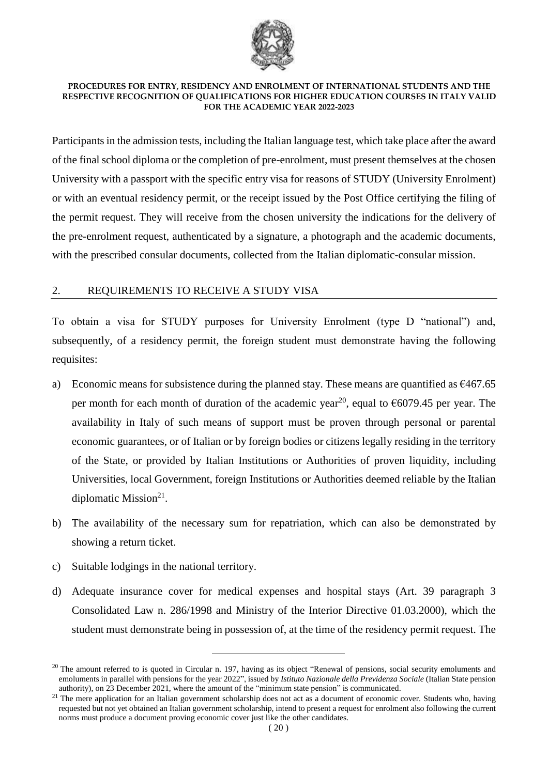

Participants in the admission tests, including the Italian language test, which take place after the award of the final school diploma or the completion of pre-enrolment, must present themselves at the chosen University with a passport with the specific entry visa for reasons of STUDY (University Enrolment) or with an eventual residency permit, or the receipt issued by the Post Office certifying the filing of the permit request. They will receive from the chosen university the indications for the delivery of the pre-enrolment request, authenticated by a signature, a photograph and the academic documents, with the prescribed consular documents, collected from the Italian diplomatic-consular mission.

## <span id="page-19-0"></span>2. REQUIREMENTS TO RECEIVE A STUDY VISA

To obtain a visa for STUDY purposes for University Enrolment (type D "national") and, subsequently, of a residency permit, the foreign student must demonstrate having the following requisites:

- a) Economic means for subsistence during the planned stay. These means are quantified as  $\epsilon$ 467.65 per month for each month of duration of the academic year<sup>20</sup>, equal to  $\epsilon$ 6079.45 per year. The availability in Italy of such means of support must be proven through personal or parental economic guarantees, or of Italian or by foreign bodies or citizens legally residing in the territory of the State, or provided by Italian Institutions or Authorities of proven liquidity, including Universities, local Government, foreign Institutions or Authorities deemed reliable by the Italian diplomatic Mission $21$ .
- b) The availability of the necessary sum for repatriation, which can also be demonstrated by showing a return ticket.
- c) Suitable lodgings in the national territory.
- d) Adequate insurance cover for medical expenses and hospital stays (Art. 39 paragraph 3 Consolidated Law n. 286/1998 and Ministry of the Interior Directive 01.03.2000), which the student must demonstrate being in possession of, at the time of the residency permit request. The

 $20$  The amount referred to is quoted in Circular n. 197, having as its object "Renewal of pensions, social security emoluments and emoluments in parallel with pensions for the year 2022", issued by *Istituto Nazionale della Previdenza Sociale* (Italian State pension authority), on 23 December 2021, where the amount of the "minimum state pension" is communicated.

 $21$  The mere application for an Italian government scholarship does not act as a document of economic cover. Students who, having requested but not yet obtained an Italian government scholarship, intend to present a request for enrolment also following the current norms must produce a document proving economic cover just like the other candidates.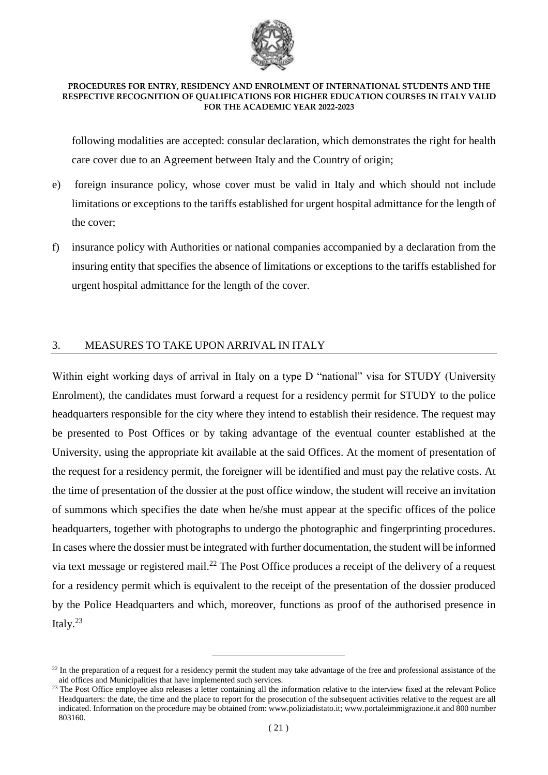

following modalities are accepted: consular declaration, which demonstrates the right for health care cover due to an Agreement between Italy and the Country of origin;

- e) foreign insurance policy, whose cover must be valid in Italy and which should not include limitations or exceptions to the tariffs established for urgent hospital admittance for the length of the cover;
- f) insurance policy with Authorities or national companies accompanied by a declaration from the insuring entity that specifies the absence of limitations or exceptions to the tariffs established for urgent hospital admittance for the length of the cover.

## <span id="page-20-0"></span>3. MEASURES TO TAKE UPON ARRIVAL IN ITALY

Within eight working days of arrival in Italy on a type D "national" visa for STUDY (University Enrolment), the candidates must forward a request for a residency permit for STUDY to the police headquarters responsible for the city where they intend to establish their residence. The request may be presented to Post Offices or by taking advantage of the eventual counter established at the University, using the appropriate kit available at the said Offices. At the moment of presentation of the request for a residency permit, the foreigner will be identified and must pay the relative costs. At the time of presentation of the dossier at the post office window, the student will receive an invitation of summons which specifies the date when he/she must appear at the specific offices of the police headquarters, together with photographs to undergo the photographic and fingerprinting procedures. In cases where the dossier must be integrated with further documentation, the student will be informed via text message or registered mail.<sup>22</sup> The Post Office produces a receipt of the delivery of a request for a residency permit which is equivalent to the receipt of the presentation of the dossier produced by the Police Headquarters and which, moreover, functions as proof of the authorised presence in Italy.<sup>23</sup>

 $^{22}$  In the preparation of a request for a residency permit the student may take advantage of the free and professional assistance of the aid offices and Municipalities that have implemented such services.

<sup>&</sup>lt;sup>23</sup> The Post Office employee also releases a letter containing all the information relative to the interview fixed at the relevant Police Headquarters: the date, the time and the place to report for the prosecution of the subsequent activities relative to the request are all indicated. Information on the procedure may be obtained from: www.poliziadistato.it; www.portaleimmigrazione.it and 800 number 803160.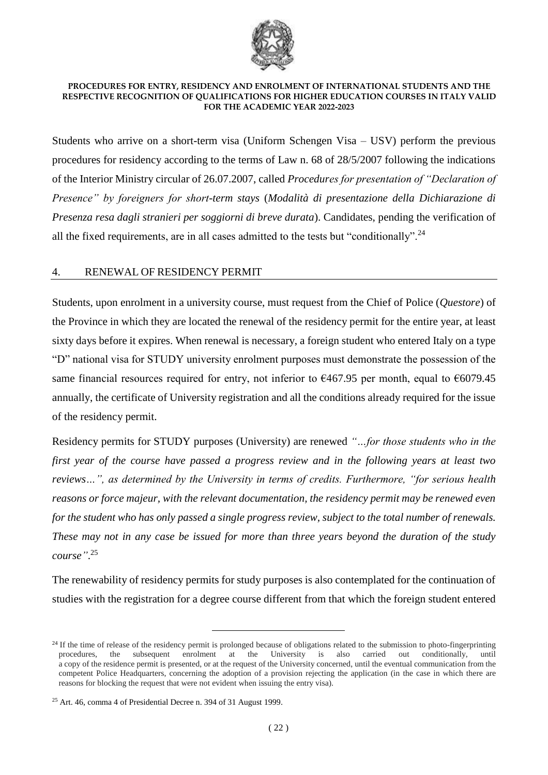

Students who arrive on a short-term visa (Uniform Schengen Visa – USV) perform the previous procedures for residency according to the terms of Law n. 68 of 28/5/2007 following the indications of the Interior Ministry circular of 26.07.2007, called *Procedures for presentation of "Declaration of Presence" by foreigners for short-term stays* (*Modalità di presentazione della Dichiarazione di Presenza resa dagli stranieri per soggiorni di breve durata*). Candidates, pending the verification of all the fixed requirements, are in all cases admitted to the tests but "conditionally".<sup>24</sup>

### <span id="page-21-0"></span>4. RENEWAL OF RESIDENCY PERMIT

Students, upon enrolment in a university course, must request from the Chief of Police (*Questore*) of the Province in which they are located the renewal of the residency permit for the entire year, at least sixty days before it expires. When renewal is necessary, a foreign student who entered Italy on a type "D" national visa for STUDY university enrolment purposes must demonstrate the possession of the same financial resources required for entry, not inferior to €467.95 per month, equal to €6079.45 annually, the certificate of University registration and all the conditions already required for the issue of the residency permit.

Residency permits for STUDY purposes (University) are renewed *"…for those students who in the first year of the course have passed a progress review and in the following years at least two reviews…", as determined by the University in terms of credits. Furthermore, "for serious health reasons or force majeur, with the relevant documentation, the residency permit may be renewed even for the student who has only passed a single progress review, subject to the total number of renewals. These may not in any case be issued for more than three years beyond the duration of the study course"*. 25

The renewability of residency permits for study purposes is also contemplated for the continuation of studies with the registration for a degree course different from that which the foreign student entered

<sup>&</sup>lt;sup>24</sup> If the time of release of the residency permit is prolonged because of obligations related to the submission to photo-fingerprinting procedures, the subsequent enrolment at the University is also carried out conditionally, until a copy of the residence permit is presented, or at the request of the University concerned, until the eventual communication from the competent Police Headquarters, concerning the adoption of a provision rejecting the application (in the case in which there are reasons for blocking the request that were not evident when issuing the entry visa).

<sup>&</sup>lt;sup>25</sup> Art. 46, comma 4 of Presidential Decree n. 394 of 31 August 1999.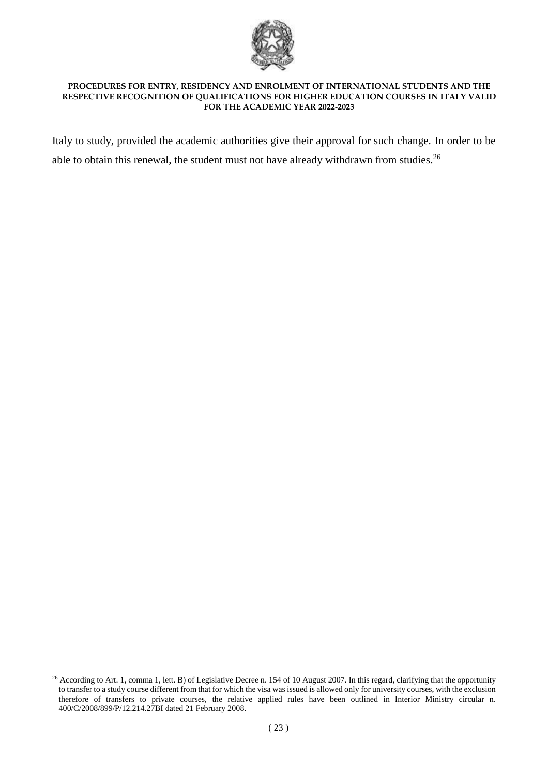

Italy to study, provided the academic authorities give their approval for such change. In order to be able to obtain this renewal, the student must not have already withdrawn from studies.<sup>26</sup>

<sup>&</sup>lt;sup>26</sup> According to Art. 1, comma 1, lett. B) of Legislative Decree n. 154 of 10 August 2007. In this regard, clarifying that the opportunity to transfer to a study course different from that for which the visa was issued is allowed only for university courses, with the exclusion therefore of transfers to private courses, the relative applied rules have been outlined in Interior Ministry circular n. 400/C/2008/899/P/12.214.27BI dated 21 February 2008.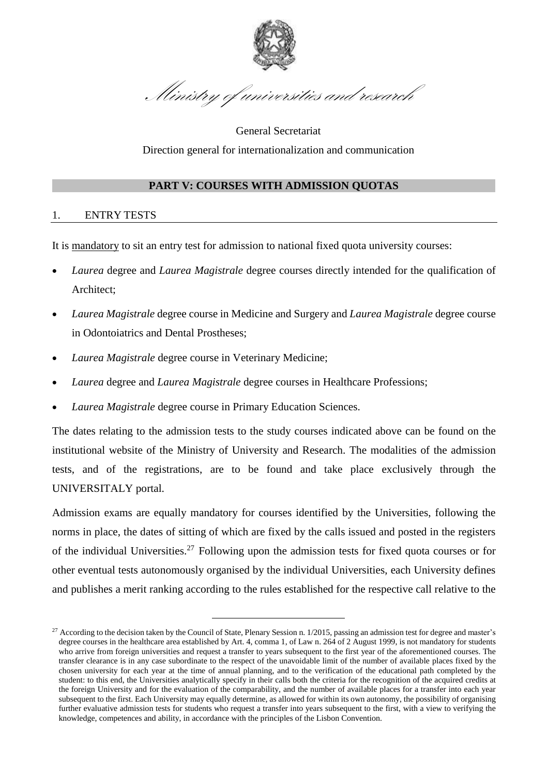

Ministry of universities and research

General Secretariat Direction general for internationalization and communication

## **PART V: COURSES WITH ADMISSION QUOTAS**

## <span id="page-23-1"></span><span id="page-23-0"></span>1. ENTRY TESTS

It is mandatory to sit an entry test for admission to national fixed quota university courses:

- *Laurea* degree and *Laurea Magistrale* degree courses directly intended for the qualification of Architect;
- *Laurea Magistrale* degree course in Medicine and Surgery and *Laurea Magistrale* degree course in Odontoiatrics and Dental Prostheses;
- *Laurea Magistrale* degree course in Veterinary Medicine;
- *Laurea* degree and *Laurea Magistrale* degree courses in Healthcare Professions;
- *Laurea Magistrale* degree course in Primary Education Sciences.

 $\overline{a}$ 

The dates relating to the admission tests to the study courses indicated above can be found on the institutional website of the Ministry of University and Research. The modalities of the admission tests, and of the registrations, are to be found and take place exclusively through the UNIVERSITALY portal.

Admission exams are equally mandatory for courses identified by the Universities, following the norms in place, the dates of sitting of which are fixed by the calls issued and posted in the registers of the individual Universities.<sup>27</sup> Following upon the admission tests for fixed quota courses or for other eventual tests autonomously organised by the individual Universities, each University defines and publishes a merit ranking according to the rules established for the respective call relative to the

<sup>&</sup>lt;sup>27</sup> According to the decision taken by the Council of State, Plenary Session n. 1/2015, passing an admission test for degree and master's degree courses in the healthcare area established by Art. 4, comma 1, of Law n. 264 of 2 August 1999, is not mandatory for students who arrive from foreign universities and request a transfer to years subsequent to the first year of the aforementioned courses. The transfer clearance is in any case subordinate to the respect of the unavoidable limit of the number of available places fixed by the chosen university for each year at the time of annual planning, and to the verification of the educational path completed by the student: to this end, the Universities analytically specify in their calls both the criteria for the recognition of the acquired credits at the foreign University and for the evaluation of the comparability, and the number of available places for a transfer into each year subsequent to the first. Each University may equally determine, as allowed for within its own autonomy, the possibility of organising further evaluative admission tests for students who request a transfer into years subsequent to the first, with a view to verifying the knowledge, competences and ability, in accordance with the principles of the Lisbon Convention.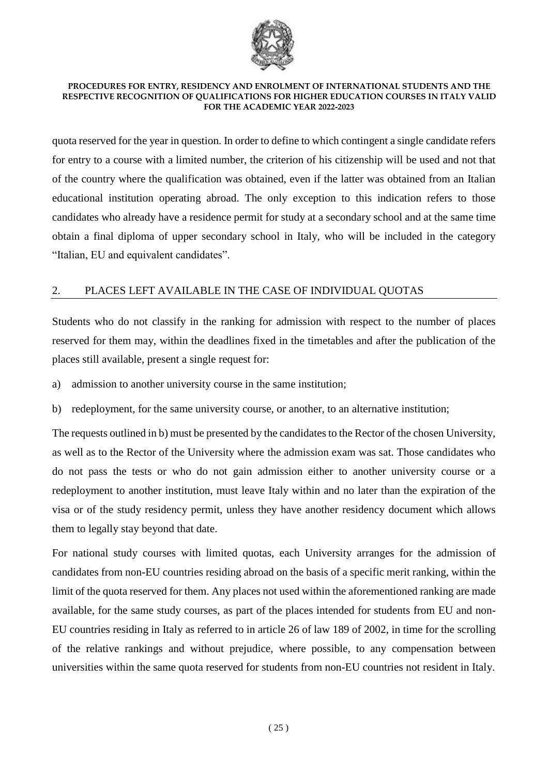

quota reserved for the year in question. In order to define to which contingent a single candidate refers for entry to a course with a limited number, the criterion of his citizenship will be used and not that of the country where the qualification was obtained, even if the latter was obtained from an Italian educational institution operating abroad. The only exception to this indication refers to those candidates who already have a residence permit for study at a secondary school and at the same time obtain a final diploma of upper secondary school in Italy, who will be included in the category "Italian, EU and equivalent candidates".

# <span id="page-24-0"></span>2. PLACES LEFT AVAILABLE IN THE CASE OF INDIVIDUAL QUOTAS

Students who do not classify in the ranking for admission with respect to the number of places reserved for them may, within the deadlines fixed in the timetables and after the publication of the places still available, present a single request for:

- a) admission to another university course in the same institution;
- b) redeployment, for the same university course, or another, to an alternative institution;

The requests outlined in b) must be presented by the candidates to the Rector of the chosen University, as well as to the Rector of the University where the admission exam was sat. Those candidates who do not pass the tests or who do not gain admission either to another university course or a redeployment to another institution, must leave Italy within and no later than the expiration of the visa or of the study residency permit, unless they have another residency document which allows them to legally stay beyond that date.

For national study courses with limited quotas, each University arranges for the admission of candidates from non-EU countries residing abroad on the basis of a specific merit ranking, within the limit of the quota reserved for them. Any places not used within the aforementioned ranking are made available, for the same study courses, as part of the places intended for students from EU and non-EU countries residing in Italy as referred to in article 26 of law 189 of 2002, in time for the scrolling of the relative rankings and without prejudice, where possible, to any compensation between universities within the same quota reserved for students from non-EU countries not resident in Italy.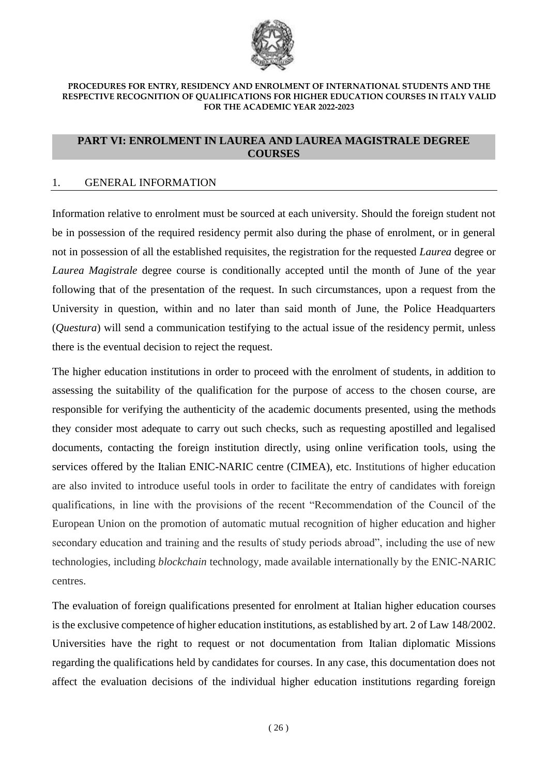

### <span id="page-25-0"></span>**PART VI: ENROLMENT IN LAUREA AND LAUREA MAGISTRALE DEGREE COURSES**

### <span id="page-25-1"></span>1. GENERAL INFORMATION

Information relative to enrolment must be sourced at each university. Should the foreign student not be in possession of the required residency permit also during the phase of enrolment, or in general not in possession of all the established requisites, the registration for the requested *Laurea* degree or *Laurea Magistrale* degree course is conditionally accepted until the month of June of the year following that of the presentation of the request. In such circumstances, upon a request from the University in question, within and no later than said month of June, the Police Headquarters (*Questura*) will send a communication testifying to the actual issue of the residency permit, unless there is the eventual decision to reject the request.

The higher education institutions in order to proceed with the enrolment of students, in addition to assessing the suitability of the qualification for the purpose of access to the chosen course, are responsible for verifying the authenticity of the academic documents presented, using the methods they consider most adequate to carry out such checks, such as requesting apostilled and legalised documents, contacting the foreign institution directly, using online verification tools, using the services offered by the Italian ENIC-NARIC centre (CIMEA), etc. Institutions of higher education are also invited to introduce useful tools in order to facilitate the entry of candidates with foreign qualifications, in line with the provisions of the recent "Recommendation of the Council of the European Union on the promotion of automatic mutual recognition of higher education and higher secondary education and training and the results of study periods abroad", including the use of new technologies, including *blockchain* technology, made available internationally by the ENIC-NARIC centres.

The evaluation of foreign qualifications presented for enrolment at Italian higher education courses is the exclusive competence of higher education institutions, as established by art. 2 of Law 148/2002. Universities have the right to request or not documentation from Italian diplomatic Missions regarding the qualifications held by candidates for courses. In any case, this documentation does not affect the evaluation decisions of the individual higher education institutions regarding foreign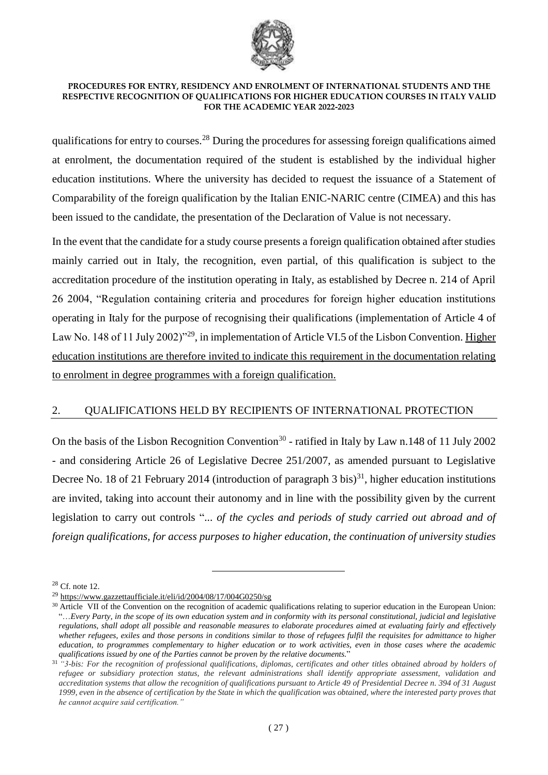

qualifications for entry to courses.<sup>28</sup> During the procedures for assessing foreign qualifications aimed at enrolment, the documentation required of the student is established by the individual higher education institutions. Where the university has decided to request the issuance of a Statement of Comparability of the foreign qualification by the Italian ENIC-NARIC centre (CIMEA) and this has been issued to the candidate, the presentation of the Declaration of Value is not necessary.

In the event that the candidate for a study course presents a foreign qualification obtained after studies mainly carried out in Italy, the recognition, even partial, of this qualification is subject to the accreditation procedure of the institution operating in Italy, as established by Decree n. 214 of April 26 2004, "Regulation containing criteria and procedures for foreign higher education institutions operating in Italy for the purpose of recognising their qualifications (implementation of Article 4 of Law No. 148 of 11 July 2002)<sup>"29</sup>, in implementation of Article VI.5 of the Lisbon Convention. Higher education institutions are therefore invited to indicate this requirement in the documentation relating to enrolment in degree programmes with a foreign qualification.

### <span id="page-26-0"></span>2. QUALIFICATIONS HELD BY RECIPIENTS OF INTERNATIONAL PROTECTION

On the basis of the Lisbon Recognition Convention<sup>30</sup> - ratified in Italy by Law n.148 of 11 July 2002 - and considering Article 26 of Legislative Decree 251/2007, as amended pursuant to Legislative Decree No. 18 of 21 February 2014 (introduction of paragraph 3 bis)<sup>31</sup>, higher education institutions are invited, taking into account their autonomy and in line with the possibility given by the current legislation to carry out controls "... *of the cycles and periods of study carried out abroad and of foreign qualifications, for access purposes to higher education, the continuation of university studies* 

<sup>28</sup> Cf. note 12.

<sup>29</sup> <https://www.gazzettaufficiale.it/eli/id/2004/08/17/004G0250/sg>

<sup>&</sup>lt;sup>30</sup> Article VII of the Convention on the recognition of academic qualifications relating to superior education in the European Union: "... Every Party, in the scope of its own education system and in conformity with its personal constitutional, judicial and legislative regulations, shall adopt all possible and reasonable measures to elaborate procedures aimed at evaluating fairly and effectively whether refugees, exiles and those persons in conditions similar to those of refugees fulfil the requisites for admittance to higher education, to programmes complementary to higher education or to work activities, even in those cases where the academic *qualifications issued by one of the Parties cannot be proven by the relative documents.*"

<sup>31</sup> *"3-bis: For the recognition of professional qualifications, diplomas, certificates and other titles obtained abroad by holders of refugee or subsidiary protection status, the relevant administrations shall identify appropriate assessment, validation and accreditation systems that allow the recognition of qualifications pursuant to Article 49 of Presidential Decree n. 394 of 31 August 1999, even in the absence of certification by the State in which the qualification was obtained, where the interested party proves that he cannot acquire said certification."*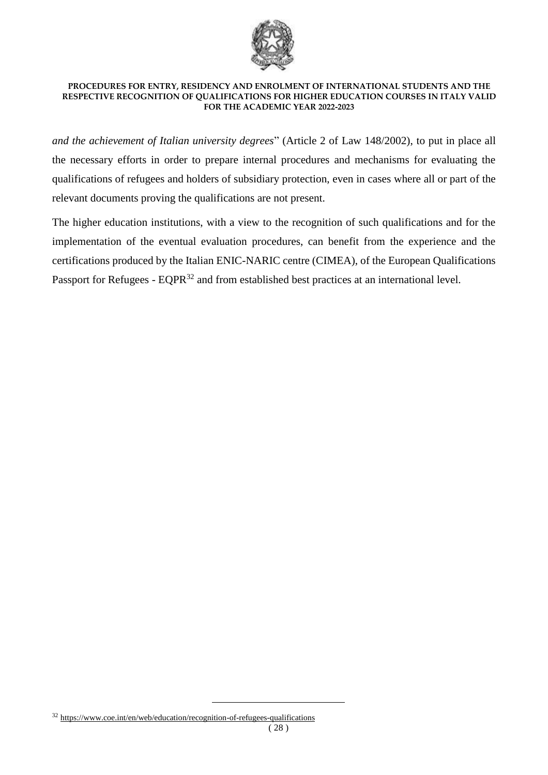

*and the achievement of Italian university degrees*" (Article 2 of Law 148/2002), to put in place all the necessary efforts in order to prepare internal procedures and mechanisms for evaluating the qualifications of refugees and holders of subsidiary protection, even in cases where all or part of the relevant documents proving the qualifications are not present.

The higher education institutions, with a view to the recognition of such qualifications and for the implementation of the eventual evaluation procedures, can benefit from the experience and the certifications produced by the Italian ENIC-NARIC centre (CIMEA), of the European Qualifications Passport for Refugees - EQPR<sup>32</sup> and from established best practices at an international level.

<sup>32</sup> <https://www.coe.int/en/web/education/recognition-of-refugees-qualifications>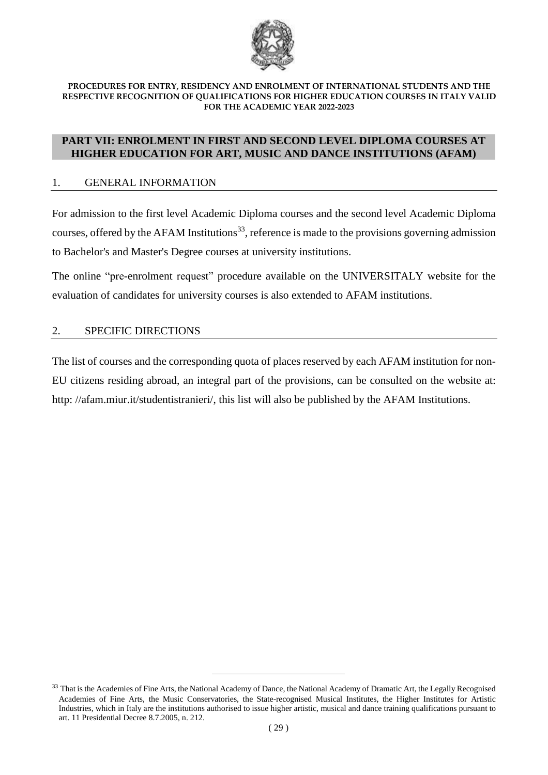

### <span id="page-28-0"></span>**PART VII: ENROLMENT IN FIRST AND SECOND LEVEL DIPLOMA COURSES AT HIGHER EDUCATION FOR ART, MUSIC AND DANCE INSTITUTIONS (AFAM)**

# <span id="page-28-1"></span>1. GENERAL INFORMATION

For admission to the first level Academic Diploma courses and the second level Academic Diploma courses, offered by the AFAM Institutions<sup>33</sup>, reference is made to the provisions governing admission to Bachelor's and Master's Degree courses at university institutions.

The online "pre-enrolment request" procedure available on the UNIVERSITALY website for the evaluation of candidates for university courses is also extended to AFAM institutions.

# <span id="page-28-2"></span>2. SPECIFIC DIRECTIONS

The list of courses and the corresponding quota of places reserved by each AFAM institution for non-EU citizens residing abroad, an integral part of the provisions, can be consulted on the website at: http: //afam.miur.it/studentistranieri/, this list will also be published by the AFAM Institutions.

<sup>&</sup>lt;sup>33</sup> That is the Academies of Fine Arts, the National Academy of Dance, the National Academy of Dramatic Art, the Legally Recognised Academies of Fine Arts, the Music Conservatories, the State-recognised Musical Institutes, the Higher Institutes for Artistic Industries, which in Italy are the institutions authorised to issue higher artistic, musical and dance training qualifications pursuant to art. 11 Presidential Decree 8.7.2005, n. 212.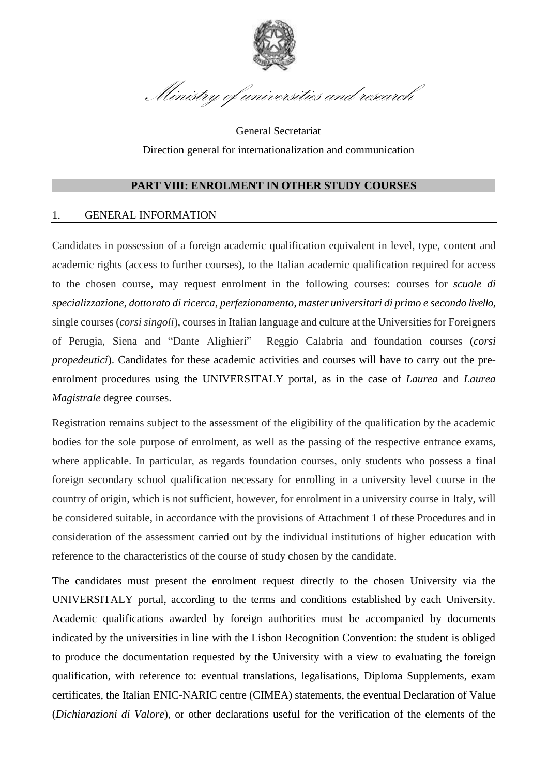

Ministry of universities and research

General Secretariat Direction general for internationalization and communication

### **PART VIII: ENROLMENT IN OTHER STUDY COURSES**

### <span id="page-29-1"></span><span id="page-29-0"></span>1. GENERAL INFORMATION

Candidates in possession of a foreign academic qualification equivalent in level, type, content and academic rights (access to further courses), to the Italian academic qualification required for access to the chosen course, may request enrolment in the following courses: courses for *scuole di specializzazione*, *dottorato di ricerca*, *perfezionamento*, *master universitari di primo e secondo livello*, single courses (*corsi singoli*), courses in Italian language and culture at the Universities for Foreigners of Perugia, Siena and "Dante Alighieri" Reggio Calabria and foundation courses (*corsi propedeutici*). Candidates for these academic activities and courses will have to carry out the preenrolment procedures using the UNIVERSITALY portal, as in the case of *Laurea* and *Laurea Magistrale* degree courses.

Registration remains subject to the assessment of the eligibility of the qualification by the academic bodies for the sole purpose of enrolment, as well as the passing of the respective entrance exams, where applicable. In particular, as regards foundation courses, only students who possess a final foreign secondary school qualification necessary for enrolling in a university level course in the country of origin, which is not sufficient, however, for enrolment in a university course in Italy, will be considered suitable, in accordance with the provisions of Attachment 1 of these Procedures and in consideration of the assessment carried out by the individual institutions of higher education with reference to the characteristics of the course of study chosen by the candidate.

The candidates must present the enrolment request directly to the chosen University via the UNIVERSITALY portal, according to the terms and conditions established by each University. Academic qualifications awarded by foreign authorities must be accompanied by documents indicated by the universities in line with the Lisbon Recognition Convention: the student is obliged to produce the documentation requested by the University with a view to evaluating the foreign qualification, with reference to: eventual translations, legalisations, Diploma Supplements, exam certificates*,* the Italian ENIC-NARIC centre (CIMEA) statements, the eventual Declaration of Value (*Dichiarazioni di Valore*), or other declarations useful for the verification of the elements of the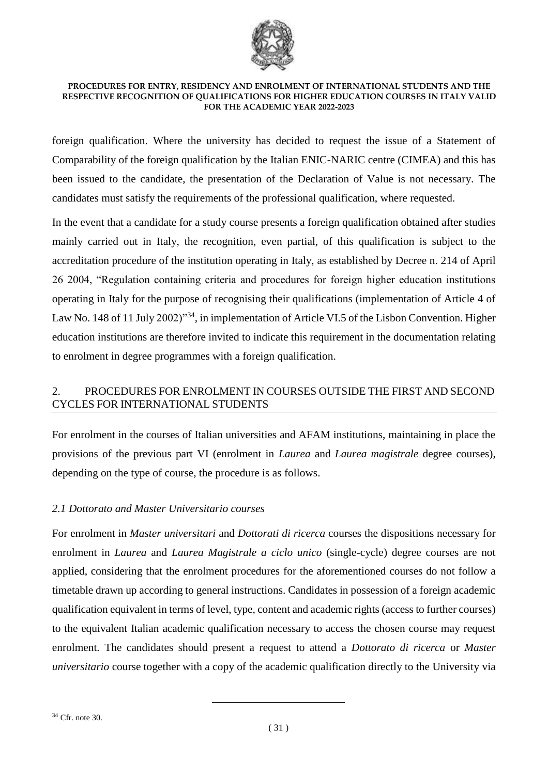

foreign qualification. Where the university has decided to request the issue of a Statement of Comparability of the foreign qualification by the Italian ENIC-NARIC centre (CIMEA) and this has been issued to the candidate, the presentation of the Declaration of Value is not necessary. The candidates must satisfy the requirements of the professional qualification, where requested.

In the event that a candidate for a study course presents a foreign qualification obtained after studies mainly carried out in Italy, the recognition, even partial, of this qualification is subject to the accreditation procedure of the institution operating in Italy, as established by Decree n. 214 of April 26 2004, "Regulation containing criteria and procedures for foreign higher education institutions operating in Italy for the purpose of recognising their qualifications (implementation of Article 4 of Law No. 148 of 11 July 2002)<sup>34</sup>, in implementation of Article VI.5 of the Lisbon Convention. Higher education institutions are therefore invited to indicate this requirement in the documentation relating to enrolment in degree programmes with a foreign qualification.

# <span id="page-30-0"></span>2. PROCEDURES FOR ENROLMENT IN COURSES OUTSIDE THE FIRST AND SECOND CYCLES FOR INTERNATIONAL STUDENTS

For enrolment in the courses of Italian universities and AFAM institutions, maintaining in place the provisions of the previous part VI (enrolment in *Laurea* and *Laurea magistrale* degree courses), depending on the type of course, the procedure is as follows.

# <span id="page-30-1"></span>*2.1 Dottorato and Master Universitario courses*

For enrolment in *Master universitari* and *Dottorati di ricerca* courses the dispositions necessary for enrolment in *Laurea* and *Laurea Magistrale a ciclo unico* (single-cycle) degree courses are not applied, considering that the enrolment procedures for the aforementioned courses do not follow a timetable drawn up according to general instructions. Candidates in possession of a foreign academic qualification equivalent in terms of level, type, content and academic rights (access to further courses) to the equivalent Italian academic qualification necessary to access the chosen course may request enrolment. The candidates should present a request to attend a *Dottorato di ricerca* or *Master universitario* course together with a copy of the academic qualification directly to the University via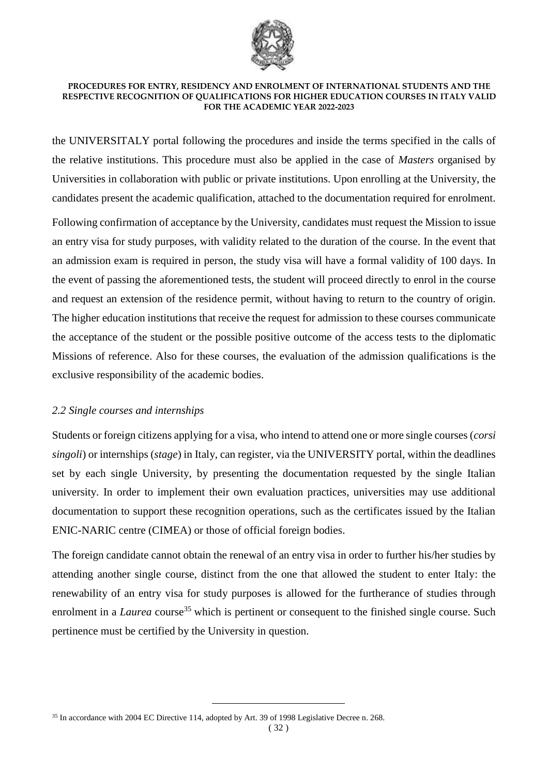

the UNIVERSITALY portal following the procedures and inside the terms specified in the calls of the relative institutions. This procedure must also be applied in the case of *Masters* organised by Universities in collaboration with public or private institutions. Upon enrolling at the University, the candidates present the academic qualification, attached to the documentation required for enrolment.

Following confirmation of acceptance by the University, candidates must request the Mission to issue an entry visa for study purposes, with validity related to the duration of the course. In the event that an admission exam is required in person, the study visa will have a formal validity of 100 days. In the event of passing the aforementioned tests, the student will proceed directly to enrol in the course and request an extension of the residence permit, without having to return to the country of origin. The higher education institutions that receive the request for admission to these courses communicate the acceptance of the student or the possible positive outcome of the access tests to the diplomatic Missions of reference. Also for these courses, the evaluation of the admission qualifications is the exclusive responsibility of the academic bodies.

### *2.2 Single courses and internships*

Students or foreign citizens applying for a visa, who intend to attend one or more single courses (*corsi singoli*) or internships (*stage*) in Italy, can register, via the UNIVERSITY portal, within the deadlines set by each single University, by presenting the documentation requested by the single Italian university. In order to implement their own evaluation practices, universities may use additional documentation to support these recognition operations, such as the certificates issued by the Italian ENIC-NARIC centre (CIMEA) or those of official foreign bodies.

The foreign candidate cannot obtain the renewal of an entry visa in order to further his/her studies by attending another single course, distinct from the one that allowed the student to enter Italy: the renewability of an entry visa for study purposes is allowed for the furtherance of studies through enrolment in a *Laurea* course<sup>35</sup> which is pertinent or consequent to the finished single course. Such pertinence must be certified by the University in question.

 $\overline{a}$ <sup>35</sup> In accordance with 2004 EC Directive 114, adopted by Art. 39 of 1998 Legislative Decree n. 268.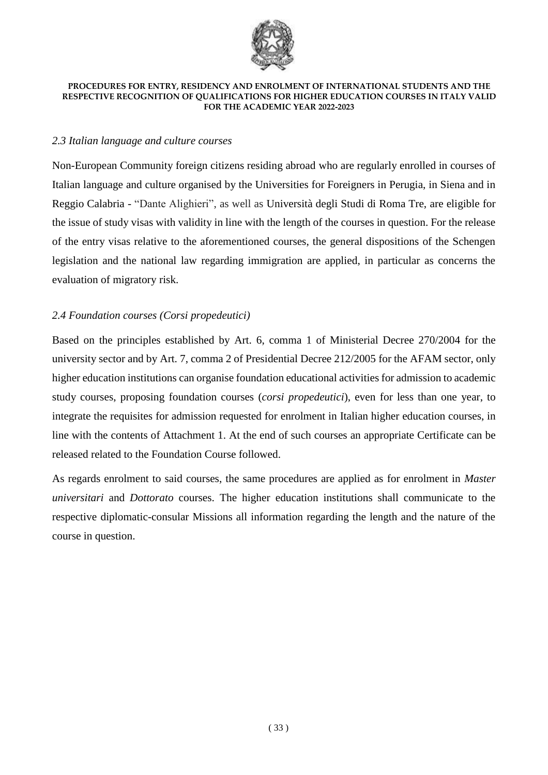

## *2.3 Italian language and culture courses*

Non-European Community foreign citizens residing abroad who are regularly enrolled in courses of Italian language and culture organised by the Universities for Foreigners in Perugia, in Siena and in Reggio Calabria - "Dante Alighieri", as well as Università degli Studi di Roma Tre, are eligible for the issue of study visas with validity in line with the length of the courses in question. For the release of the entry visas relative to the aforementioned courses, the general dispositions of the Schengen legislation and the national law regarding immigration are applied, in particular as concerns the evaluation of migratory risk.

# *2.4 Foundation courses (Corsi propedeutici)*

Based on the principles established by Art. 6, comma 1 of Ministerial Decree 270/2004 for the university sector and by Art. 7, comma 2 of Presidential Decree 212/2005 for the AFAM sector, only higher education institutions can organise foundation educational activities for admission to academic study courses, proposing foundation courses (*corsi propedeutici*), even for less than one year, to integrate the requisites for admission requested for enrolment in Italian higher education courses, in line with the contents of Attachment 1. At the end of such courses an appropriate Certificate can be released related to the Foundation Course followed.

As regards enrolment to said courses, the same procedures are applied as for enrolment in *Master universitari* and *Dottorato* courses. The higher education institutions shall communicate to the respective diplomatic-consular Missions all information regarding the length and the nature of the course in question.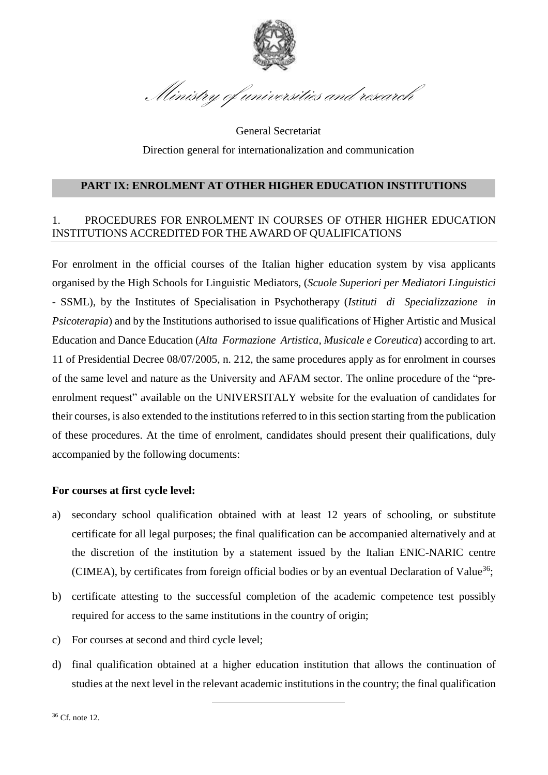

Ministry of universities and research

General Secretariat Direction general for internationalization and communication

## <span id="page-33-0"></span>**PART IX: ENROLMENT AT OTHER HIGHER EDUCATION INSTITUTIONS**

## <span id="page-33-1"></span>1. PROCEDURES FOR ENROLMENT IN COURSES OF OTHER HIGHER EDUCATION INSTITUTIONS ACCREDITED FOR THE AWARD OF QUALIFICATIONS

For enrolment in the official courses of the Italian higher education system by visa applicants organised by the High Schools for Linguistic Mediators, (*Scuole Superiori per Mediatori Linguistici* - SSML), by the Institutes of Specialisation in Psychotherapy (*Istituti di Specializzazione in Psicoterapia*) and by the Institutions authorised to issue qualifications of Higher Artistic and Musical Education and Dance Education (*Alta Formazione Artistica, Musicale e Coreutica*) according to art. 11 of Presidential Decree 08/07/2005, n. 212, the same procedures apply as for enrolment in courses of the same level and nature as the University and AFAM sector. The online procedure of the "preenrolment request" available on the UNIVERSITALY website for the evaluation of candidates for their courses, is also extended to the institutions referred to in this section starting from the publication of these procedures. At the time of enrolment, candidates should present their qualifications, duly accompanied by the following documents:

### **For courses at first cycle level:**

- a) secondary school qualification obtained with at least 12 years of schooling, or substitute certificate for all legal purposes; the final qualification can be accompanied alternatively and at the discretion of the institution by a statement issued by the Italian ENIC-NARIC centre (CIMEA), by certificates from foreign official bodies or by an eventual Declaration of Value<sup>36</sup>;
- b) certificate attesting to the successful completion of the academic competence test possibly required for access to the same institutions in the country of origin;
- c) For courses at second and third cycle level;
- d) final qualification obtained at a higher education institution that allows the continuation of studies at the next level in the relevant academic institutions in the country; the final qualification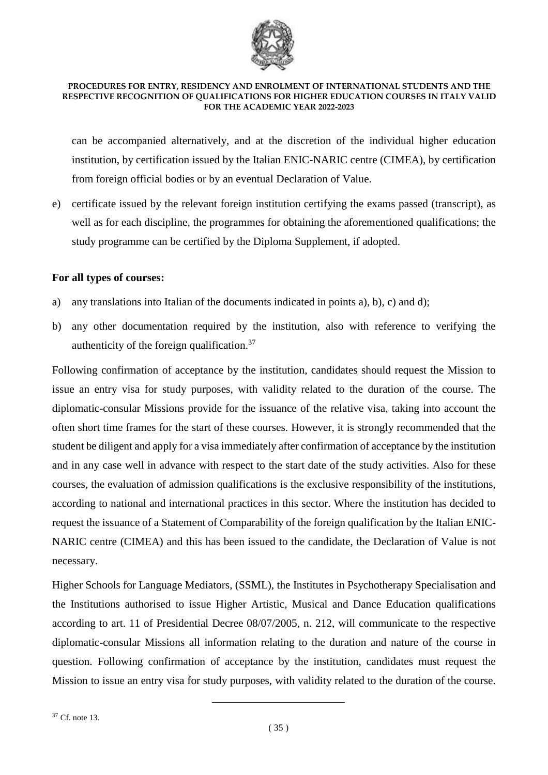

can be accompanied alternatively, and at the discretion of the individual higher education institution, by certification issued by the Italian ENIC-NARIC centre (CIMEA), by certification from foreign official bodies or by an eventual Declaration of Value.

e) certificate issued by the relevant foreign institution certifying the exams passed (transcript), as well as for each discipline, the programmes for obtaining the aforementioned qualifications; the study programme can be certified by the Diploma Supplement, if adopted.

### **For all types of courses:**

- a) any translations into Italian of the documents indicated in points a), b), c) and d);
- b) any other documentation required by the institution, also with reference to verifying the authenticity of the foreign qualification.<sup>37</sup>

Following confirmation of acceptance by the institution, candidates should request the Mission to issue an entry visa for study purposes, with validity related to the duration of the course. The diplomatic-consular Missions provide for the issuance of the relative visa, taking into account the often short time frames for the start of these courses. However, it is strongly recommended that the student be diligent and apply for a visa immediately after confirmation of acceptance by the institution and in any case well in advance with respect to the start date of the study activities. Also for these courses, the evaluation of admission qualifications is the exclusive responsibility of the institutions, according to national and international practices in this sector. Where the institution has decided to request the issuance of a Statement of Comparability of the foreign qualification by the Italian ENIC-NARIC centre (CIMEA) and this has been issued to the candidate, the Declaration of Value is not necessary.

Higher Schools for Language Mediators, (SSML), the Institutes in Psychotherapy Specialisation and the Institutions authorised to issue Higher Artistic, Musical and Dance Education qualifications according to art. 11 of Presidential Decree 08/07/2005, n. 212, will communicate to the respective diplomatic-consular Missions all information relating to the duration and nature of the course in question. Following confirmation of acceptance by the institution, candidates must request the Mission to issue an entry visa for study purposes, with validity related to the duration of the course.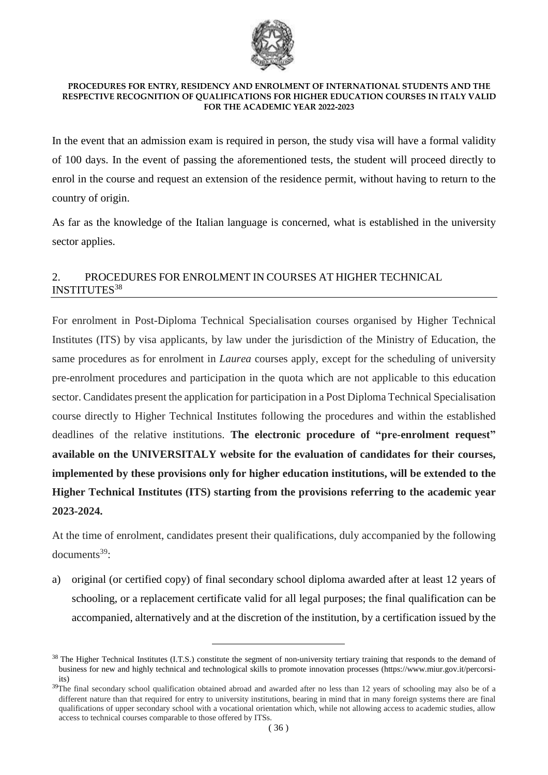

In the event that an admission exam is required in person, the study visa will have a formal validity of 100 days. In the event of passing the aforementioned tests, the student will proceed directly to enrol in the course and request an extension of the residence permit, without having to return to the country of origin.

As far as the knowledge of the Italian language is concerned, what is established in the university sector applies.

# <span id="page-35-0"></span>2. PROCEDURES FOR ENROLMENT IN COURSES AT HIGHER TECHNICAL INSTITUTES<sup>38</sup>

For enrolment in Post-Diploma Technical Specialisation courses organised by Higher Technical Institutes (ITS) by visa applicants, by law under the jurisdiction of the Ministry of Education, the same procedures as for enrolment in *Laurea* courses apply, except for the scheduling of university pre-enrolment procedures and participation in the quota which are not applicable to this education sector. Candidates present the application for participation in a Post Diploma Technical Specialisation course directly to Higher Technical Institutes following the procedures and within the established deadlines of the relative institutions. **The electronic procedure of "pre-enrolment request" available on the UNIVERSITALY website for the evaluation of candidates for their courses, implemented by these provisions only for higher education institutions, will be extended to the Higher Technical Institutes (ITS) starting from the provisions referring to the academic year 2023-2024.**

At the time of enrolment, candidates present their qualifications, duly accompanied by the following  $documents<sup>39</sup>$ :

a) original (or certified copy) of final secondary school diploma awarded after at least 12 years of schooling, or a replacement certificate valid for all legal purposes; the final qualification can be accompanied, alternatively and at the discretion of the institution, by a certification issued by the

<sup>&</sup>lt;sup>38</sup> The Higher Technical Institutes (I.T.S.) constitute the segment of non-university tertiary training that responds to the demand of business for new and highly technical and technological skills to promote innovation processes (https://www.miur.gov.it/percorsiits)

<sup>&</sup>lt;sup>39</sup>The final secondary school qualification obtained abroad and awarded after no less than 12 years of schooling may also be of a different nature than that required for entry to university institutions, bearing in mind that in many foreign systems there are final qualifications of upper secondary school with a vocational orientation which, while not allowing access to academic studies, allow access to technical courses comparable to those offered by ITSs.